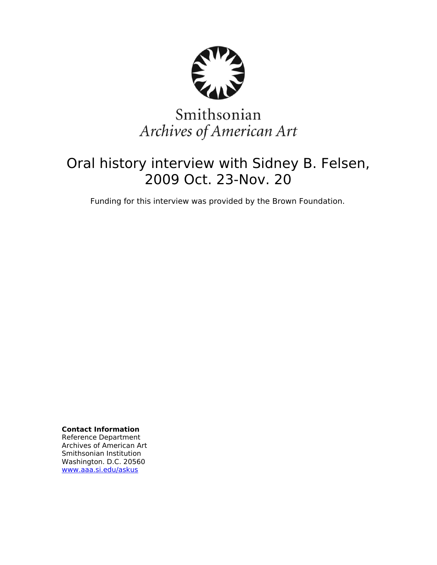

# Smithsonian Archives of American Art

## Oral history interview with Sidney B. Felsen, 2009 Oct. 23-Nov. 20

Funding for this interview was provided by the Brown Foundation.

**Contact Information** Reference Department Archives of American Art Smithsonian Institution Washington. D.C. 20560 [www.aaa.si.edu/askus](http://www.aaa.si.edu/askus)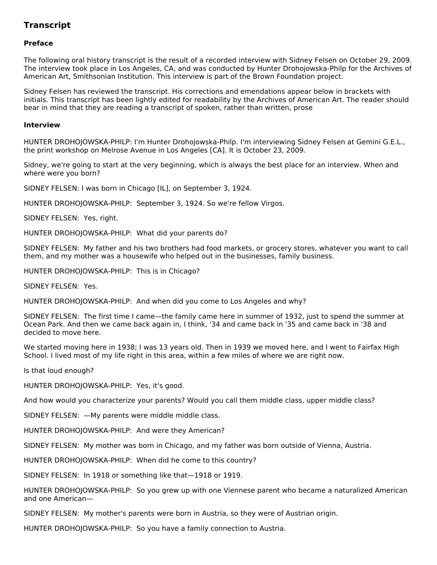### **Transcript**

#### **Preface**

The following oral history transcript is the result of a recorded interview with Sidney Felsen on October 29, 2009. The interview took place in Los Angeles, CA, and was conducted by Hunter Drohojowska-Philp for the Archives of American Art, Smithsonian Institution. This interview is part of the Brown Foundation project.

Sidney Felsen has reviewed the transcript. His corrections and emendations appear below in brackets with initials. This transcript has been lightly edited for readability by the Archives of American Art. The reader should bear in mind that they are reading a transcript of spoken, rather than written, prose

#### **Interview**

HUNTER DROHOJOWSKA-PHILP: I'm Hunter Drohojowska-Philp. I'm interviewing Sidney Felsen at Gemini G.E.L., the print workshop on Melrose Avenue in Los Angeles [CA]. It is October 23, 2009.

Sidney, we're going to start at the very beginning, which is always the best place for an interview. When and where were you born?

SIDNEY FELSEN: I was born in Chicago [IL], on September 3, 1924.

HUNTER DROHOJOWSKA-PHILP: September 3, 1924. So we're fellow Virgos.

SIDNEY FELSEN: Yes, right.

HUNTER DROHOJOWSKA-PHILP: What did your parents do?

SIDNEY FELSEN: My father and his two brothers had food markets, or grocery stores, whatever you want to call them, and my mother was a housewife who helped out in the businesses, family business.

HUNTER DROHOJOWSKA-PHILP: This is in Chicago?

SIDNEY FELSEN: Yes.

HUNTER DROHOJOWSKA-PHILP: And when did you come to Los Angeles and why?

SIDNEY FELSEN: The first time I came—the family came here in summer of 1932, just to spend the summer at Ocean Park. And then we came back again in, I think, '34 and came back in '35 and came back in '38 and decided to move here.

We started moving here in 1938; I was 13 years old. Then in 1939 we moved here, and I went to Fairfax High School. I lived most of my life right in this area, within a few miles of where we are right now.

Is that loud enough?

HUNTER DROHOJOWSKA-PHILP: Yes, it's good.

And how would you characterize your parents? Would you call them middle class, upper middle class?

SIDNEY FELSEN: —My parents were middle middle class.

HUNTER DROHOJOWSKA-PHILP: And were they American?

SIDNEY FELSEN: My mother was born in Chicago, and my father was born outside of Vienna, Austria.

HUNTER DROHOJOWSKA-PHILP: When did he come to this country?

SIDNEY FELSEN: In 1918 or something like that—1918 or 1919.

HUNTER DROHOJOWSKA-PHILP: So you grew up with one Viennese parent who became a naturalized American and one American—

SIDNEY FELSEN: My mother's parents were born in Austria, so they were of Austrian origin.

HUNTER DROHOJOWSKA-PHILP: So you have a family connection to Austria.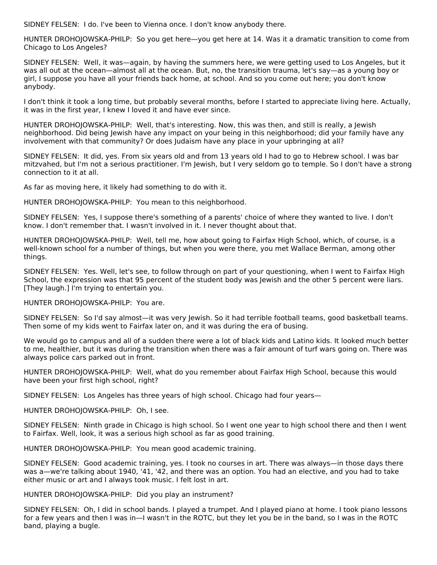SIDNEY FELSEN: I do. I've been to Vienna once. I don't know anybody there.

HUNTER DROHOJOWSKA-PHILP: So you get here—you get here at 14. Was it a dramatic transition to come from Chicago to Los Angeles?

SIDNEY FELSEN: Well, it was—again, by having the summers here, we were getting used to Los Angeles, but it was all out at the ocean—almost all at the ocean. But, no, the transition trauma, let's say—as a young boy or girl, I suppose you have all your friends back home, at school. And so you come out here; you don't know anybody.

I don't think it took a long time, but probably several months, before I started to appreciate living here. Actually, it was in the first year, I knew I loved it and have ever since.

HUNTER DROHOJOWSKA-PHILP: Well, that's interesting. Now, this was then, and still is really, a Jewish neighborhood. Did being Jewish have any impact on your being in this neighborhood; did your family have any involvement with that community? Or does Judaism have any place in your upbringing at all?

SIDNEY FELSEN: It did, yes. From six years old and from 13 years old I had to go to Hebrew school. I was bar mitzvahed, but I'm not a serious practitioner. I'm Jewish, but I very seldom go to temple. So I don't have a strong connection to it at all.

As far as moving here, it likely had something to do with it.

HUNTER DROHOJOWSKA-PHILP: You mean to this neighborhood.

SIDNEY FELSEN: Yes, I suppose there's something of a parents' choice of where they wanted to live. I don't know. I don't remember that. I wasn't involved in it. I never thought about that.

HUNTER DROHOJOWSKA-PHILP: Well, tell me, how about going to Fairfax High School, which, of course, is a well-known school for a number of things, but when you were there, you met Wallace Berman, among other things.

SIDNEY FELSEN: Yes. Well, let's see, to follow through on part of your questioning, when I went to Fairfax High School, the expression was that 95 percent of the student body was Jewish and the other 5 percent were liars. [They laugh.] I'm trying to entertain you.

HUNTER DROHOJOWSKA-PHILP: You are.

SIDNEY FELSEN: So I'd say almost—it was very Jewish. So it had terrible football teams, good basketball teams. Then some of my kids went to Fairfax later on, and it was during the era of busing.

We would go to campus and all of a sudden there were a lot of black kids and Latino kids. It looked much better to me, healthier, but it was during the transition when there was a fair amount of turf wars going on. There was always police cars parked out in front.

HUNTER DROHOJOWSKA-PHILP: Well, what do you remember about Fairfax High School, because this would have been your first high school, right?

SIDNEY FELSEN: Los Angeles has three years of high school. Chicago had four years—

HUNTER DROHOJOWSKA-PHILP: Oh, I see.

SIDNEY FELSEN: Ninth grade in Chicago is high school. So I went one year to high school there and then I went to Fairfax. Well, look, it was a serious high school as far as good training.

HUNTER DROHOJOWSKA-PHILP: You mean good academic training.

SIDNEY FELSEN: Good academic training, yes. I took no courses in art. There was always—in those days there was a—we're talking about 1940, '41, '42, and there was an option. You had an elective, and you had to take either music or art and I always took music. I felt lost in art.

HUNTER DROHOJOWSKA-PHILP: Did you play an instrument?

SIDNEY FELSEN: Oh, I did in school bands. I played a trumpet. And I played piano at home. I took piano lessons for a few years and then I was in—I wasn't in the ROTC, but they let you be in the band, so I was in the ROTC band, playing a bugle.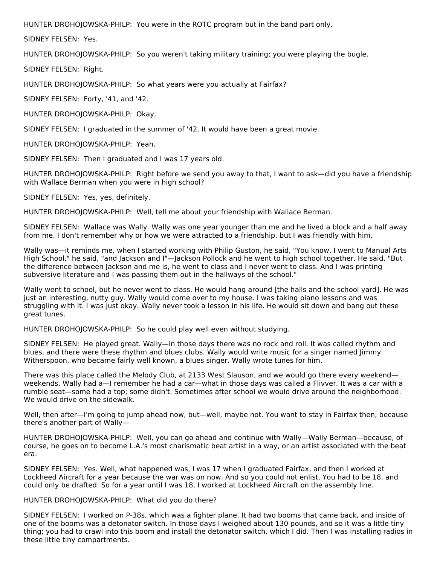HUNTER DROHOJOWSKA-PHILP: You were in the ROTC program but in the band part only.

SIDNEY FELSEN: Yes.

HUNTER DROHOJOWSKA-PHILP: So you weren't taking military training; you were playing the bugle.

SIDNEY FELSEN: Right.

HUNTER DROHOJOWSKA-PHILP: So what years were you actually at Fairfax?

SIDNEY FELSEN: Forty, '41, and '42.

HUNTER DROHOJOWSKA-PHILP: Okay.

SIDNEY FELSEN: I graduated in the summer of '42. It would have been a great movie.

HUNTER DROHOJOWSKA-PHILP: Yeah.

SIDNEY FELSEN: Then I graduated and I was 17 years old.

HUNTER DROHOJOWSKA-PHILP: Right before we send you away to that, I want to ask—did you have a friendship with Wallace Berman when you were in high school?

SIDNEY FELSEN: Yes, yes, definitely.

HUNTER DROHOJOWSKA-PHILP: Well, tell me about your friendship with Wallace Berman.

SIDNEY FELSEN: Wallace was Wally. Wally was one year younger than me and he lived a block and a half away from me. I don't remember why or how we were attracted to a friendship, but I was friendly with him.

Wally was—it reminds me, when I started working with Philip Guston, he said, "You know, I went to Manual Arts High School," he said, "and Jackson and I"—Jackson Pollock and he went to high school together. He said, "But the difference between Jackson and me is, he went to class and I never went to class. And I was printing subversive literature and I was passing them out in the hallways of the school."

Wally went to school, but he never went to class. He would hang around [the halls and the school yard]. He was just an interesting, nutty guy. Wally would come over to my house. I was taking piano lessons and was struggling with it. I was just okay. Wally never took a lesson in his life. He would sit down and bang out these great tunes.

HUNTER DROHOJOWSKA-PHILP: So he could play well even without studying.

SIDNEY FELSEN: He played great. Wally—in those days there was no rock and roll. It was called rhythm and blues, and there were these rhythm and blues clubs. Wally would write music for a singer named Jimmy Witherspoon, who became fairly well known, a blues singer. Wally wrote tunes for him.

There was this place called the Melody Club, at 2133 West Slauson, and we would go there every weekend weekends. Wally had a—I remember he had a car—what in those days was called a Flivver. It was a car with a rumble seat—some had a top; some didn't. Sometimes after school we would drive around the neighborhood. We would drive on the sidewalk.

Well, then after—I'm going to jump ahead now, but—well, maybe not. You want to stay in Fairfax then, because there's another part of Wally—

HUNTER DROHOJOWSKA-PHILP: Well, you can go ahead and continue with Wally—Wally Berman—because, of course, he goes on to become L.A.'s most charismatic beat artist in a way, or an artist associated with the beat era.

SIDNEY FELSEN: Yes. Well, what happened was, I was 17 when I graduated Fairfax, and then I worked at Lockheed Aircraft for a year because the war was on now. And so you could not enlist. You had to be 18, and could only be drafted. So for a year until I was 18, I worked at Lockheed Aircraft on the assembly line.

HUNTER DROHOJOWSKA-PHILP: What did you do there?

SIDNEY FELSEN: I worked on P-38s, which was a fighter plane. It had two booms that came back, and inside of one of the booms was a detonator switch. In those days I weighed about 130 pounds, and so it was a little tiny thing; you had to crawl into this boom and install the detonator switch, which I did. Then I was installing radios in these little tiny compartments.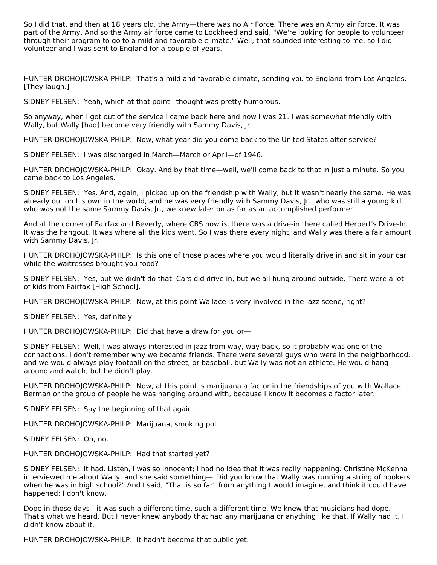So I did that, and then at 18 years old, the Army—there was no Air Force. There was an Army air force. It was part of the Army. And so the Army air force came to Lockheed and said, "We're looking for people to volunteer through their program to go to a mild and favorable climate." Well, that sounded interesting to me, so I did volunteer and I was sent to England for a couple of years.

HUNTER DROHOJOWSKA-PHILP: That's a mild and favorable climate, sending you to England from Los Angeles. [They laugh.]

SIDNEY FELSEN: Yeah, which at that point I thought was pretty humorous.

So anyway, when I got out of the service I came back here and now I was 21. I was somewhat friendly with Wally, but Wally [had] become very friendly with Sammy Davis, Jr.

HUNTER DROHOJOWSKA-PHILP: Now, what year did you come back to the United States after service?

SIDNEY FELSEN: I was discharged in March—March or April—of 1946.

HUNTER DROHOJOWSKA-PHILP: Okay. And by that time—well, we'll come back to that in just a minute. So you came back to Los Angeles.

SIDNEY FELSEN: Yes. And, again, I picked up on the friendship with Wally, but it wasn't nearly the same. He was already out on his own in the world, and he was very friendly with Sammy Davis, Jr., who was still a young kid who was not the same Sammy Davis, Jr., we knew later on as far as an accomplished performer.

And at the corner of Fairfax and Beverly, where CBS now is, there was a drive-in there called Herbert's Drive-In. It was the hangout. It was where all the kids went. So I was there every night, and Wally was there a fair amount with Sammy Davis, Jr.

HUNTER DROHOJOWSKA-PHILP: Is this one of those places where you would literally drive in and sit in your car while the waitresses brought you food?

SIDNEY FELSEN: Yes, but we didn't do that. Cars did drive in, but we all hung around outside. There were a lot of kids from Fairfax [High School].

HUNTER DROHOJOWSKA-PHILP: Now, at this point Wallace is very involved in the jazz scene, right?

SIDNEY FELSEN: Yes, definitely.

HUNTER DROHOJOWSKA-PHILP: Did that have a draw for you or—

SIDNEY FELSEN: Well, I was always interested in jazz from way, way back, so it probably was one of the connections. I don't remember why we became friends. There were several guys who were in the neighborhood, and we would always play football on the street, or baseball, but Wally was not an athlete. He would hang around and watch, but he didn't play.

HUNTER DROHOJOWSKA-PHILP: Now, at this point is marijuana a factor in the friendships of you with Wallace Berman or the group of people he was hanging around with, because I know it becomes a factor later.

SIDNEY FELSEN: Say the beginning of that again.

HUNTER DROHOJOWSKA-PHILP: Marijuana, smoking pot.

SIDNEY FELSEN: Oh, no.

HUNTER DROHOJOWSKA-PHILP: Had that started yet?

SIDNEY FELSEN: It had. Listen, I was so innocent; I had no idea that it was really happening. Christine McKenna interviewed me about Wally, and she said something—"Did you know that Wally was running a string of hookers when he was in high school?" And I said, "That is so far" from anything I would imagine, and think it could have happened; I don't know.

Dope in those days—it was such a different time, such a different time. We knew that musicians had dope. That's what we heard. But I never knew anybody that had any marijuana or anything like that. If Wally had it, I didn't know about it.

HUNTER DROHOJOWSKA-PHILP: It hadn't become that public yet.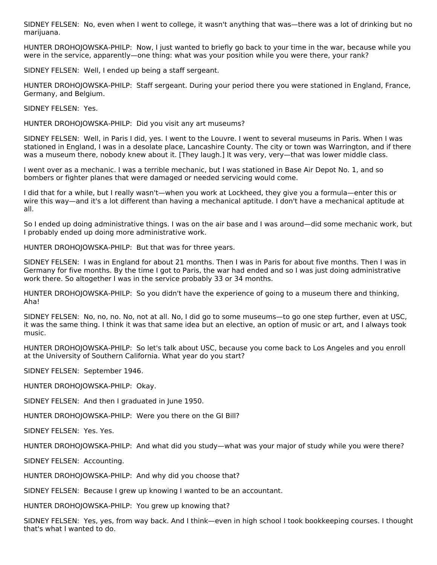SIDNEY FELSEN: No, even when I went to college, it wasn't anything that was—there was a lot of drinking but no marijuana.

HUNTER DROHOJOWSKA-PHILP: Now, I just wanted to briefly go back to your time in the war, because while you were in the service, apparently—one thing: what was your position while you were there, your rank?

SIDNEY FELSEN: Well, I ended up being a staff sergeant.

HUNTER DROHOJOWSKA-PHILP: Staff sergeant. During your period there you were stationed in England, France, Germany, and Belgium.

SIDNEY FELSEN: Yes.

HUNTER DROHOJOWSKA-PHILP: Did you visit any art museums?

SIDNEY FELSEN: Well, in Paris I did, yes. I went to the Louvre. I went to several museums in Paris. When I was stationed in England, I was in a desolate place, Lancashire County. The city or town was Warrington, and if there was a museum there, nobody knew about it. [They laugh.] It was very, very—that was lower middle class.

I went over as a mechanic. I was a terrible mechanic, but I was stationed in Base Air Depot No. 1, and so bombers or fighter planes that were damaged or needed servicing would come.

I did that for a while, but I really wasn't—when you work at Lockheed, they give you a formula—enter this or wire this way—and it's a lot different than having a mechanical aptitude. I don't have a mechanical aptitude at all.

So I ended up doing administrative things. I was on the air base and I was around—did some mechanic work, but I probably ended up doing more administrative work.

HUNTER DROHOJOWSKA-PHILP: But that was for three years.

SIDNEY FELSEN: I was in England for about 21 months. Then I was in Paris for about five months. Then I was in Germany for five months. By the time I got to Paris, the war had ended and so I was just doing administrative work there. So altogether I was in the service probably 33 or 34 months.

HUNTER DROHOJOWSKA-PHILP: So you didn't have the experience of going to a museum there and thinking, Aha!

SIDNEY FELSEN: No, no, no. No, not at all. No, I did go to some museums—to go one step further, even at USC, it was the same thing. I think it was that same idea but an elective, an option of music or art, and I always took music.

HUNTER DROHOJOWSKA-PHILP: So let's talk about USC, because you come back to Los Angeles and you enroll at the University of Southern California. What year do you start?

SIDNEY FELSEN: September 1946.

HUNTER DROHOJOWSKA-PHILP: Okay.

SIDNEY FELSEN: And then I graduated in June 1950.

HUNTER DROHOJOWSKA-PHILP: Were you there on the GI Bill?

SIDNEY FELSEN: Yes. Yes.

HUNTER DROHOJOWSKA-PHILP: And what did you study—what was your major of study while you were there?

SIDNEY FELSEN: Accounting.

HUNTER DROHOJOWSKA-PHILP: And why did you choose that?

SIDNEY FELSEN: Because I grew up knowing I wanted to be an accountant.

HUNTER DROHOJOWSKA-PHILP: You grew up knowing that?

SIDNEY FELSEN: Yes, yes, from way back. And I think—even in high school I took bookkeeping courses. I thought that's what I wanted to do.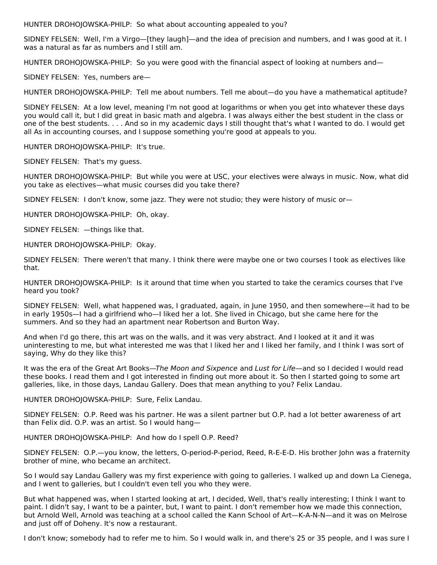HUNTER DROHOJOWSKA-PHILP: So what about accounting appealed to you?

SIDNEY FELSEN: Well, I'm a Virgo—[they laugh]—and the idea of precision and numbers, and I was good at it. I was a natural as far as numbers and I still am.

HUNTER DROHOJOWSKA-PHILP: So you were good with the financial aspect of looking at numbers and—

SIDNEY FELSEN: Yes, numbers are—

HUNTER DROHOJOWSKA-PHILP: Tell me about numbers. Tell me about—do you have a mathematical aptitude?

SIDNEY FELSEN: At a low level, meaning I'm not good at logarithms or when you get into whatever these days you would call it, but I did great in basic math and algebra. I was always either the best student in the class or one of the best students. . . . And so in my academic days I still thought that's what I wanted to do. I would get all As in accounting courses, and I suppose something you're good at appeals to you.

HUNTER DROHOJOWSKA-PHILP: It's true.

SIDNEY FELSEN: That's my guess.

HUNTER DROHOJOWSKA-PHILP: But while you were at USC, your electives were always in music. Now, what did you take as electives—what music courses did you take there?

SIDNEY FELSEN: I don't know, some jazz. They were not studio; they were history of music or—

HUNTER DROHOJOWSKA-PHILP: Oh, okay.

SIDNEY FELSEN: —things like that.

HUNTER DROHOJOWSKA-PHILP: Okay.

SIDNEY FELSEN: There weren't that many. I think there were maybe one or two courses I took as electives like that.

HUNTER DROHOJOWSKA-PHILP: Is it around that time when you started to take the ceramics courses that I've heard you took?

SIDNEY FELSEN: Well, what happened was, I graduated, again, in June 1950, and then somewhere—it had to be in early 1950s—I had a girlfriend who—I liked her a lot. She lived in Chicago, but she came here for the summers. And so they had an apartment near Robertson and Burton Way.

And when I'd go there, this art was on the walls, and it was very abstract. And I looked at it and it was uninteresting to me, but what interested me was that I liked her and I liked her family, and I think I was sort of saying, Why do they like this?

It was the era of the Great Art Books—The Moon and Sixpence and Lust for Life—and so I decided I would read these books. I read them and I got interested in finding out more about it. So then I started going to some art galleries, like, in those days, Landau Gallery. Does that mean anything to you? Felix Landau.

HUNTER DROHOJOWSKA-PHILP: Sure, Felix Landau.

SIDNEY FELSEN: O.P. Reed was his partner. He was a silent partner but O.P. had a lot better awareness of art than Felix did. O.P. was an artist. So I would hang—

HUNTER DROHOJOWSKA-PHILP: And how do I spell O.P. Reed?

SIDNEY FELSEN: O.P.—you know, the letters, O-period-P-period, Reed, R-E-E-D. His brother John was a fraternity brother of mine, who became an architect.

So I would say Landau Gallery was my first experience with going to galleries. I walked up and down La Cienega, and I went to galleries, but I couldn't even tell you who they were.

But what happened was, when I started looking at art, I decided, Well, that's really interesting; I think I want to paint. I didn't say, I want to be a painter, but, I want to paint. I don't remember how we made this connection, but Arnold Well, Arnold was teaching at a school called the Kann School of Art—K-A-N-N—and it was on Melrose and just off of Doheny. It's now a restaurant.

I don't know; somebody had to refer me to him. So I would walk in, and there's 25 or 35 people, and I was sure I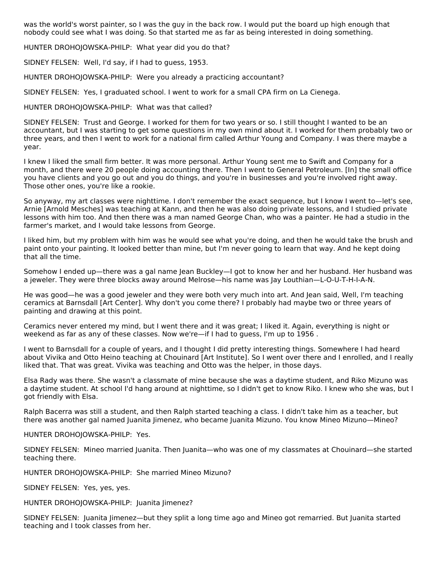was the world's worst painter, so I was the guy in the back row. I would put the board up high enough that nobody could see what I was doing. So that started me as far as being interested in doing something.

HUNTER DROHOJOWSKA-PHILP: What year did you do that?

SIDNEY FELSEN: Well, I'd say, if I had to guess, 1953.

HUNTER DROHOJOWSKA-PHILP: Were you already a practicing accountant?

SIDNEY FELSEN: Yes, I graduated school. I went to work for a small CPA firm on La Cienega.

HUNTER DROHOJOWSKA-PHILP: What was that called?

SIDNEY FELSEN: Trust and George. I worked for them for two years or so. I still thought I wanted to be an accountant, but I was starting to get some questions in my own mind about it. I worked for them probably two or three years, and then I went to work for a national firm called Arthur Young and Company. I was there maybe a year.

I knew I liked the small firm better. It was more personal. Arthur Young sent me to Swift and Company for a month, and there were 20 people doing accounting there. Then I went to General Petroleum. [In] the small office you have clients and you go out and you do things, and you're in businesses and you're involved right away. Those other ones, you're like a rookie.

So anyway, my art classes were nighttime. I don't remember the exact sequence, but I know I went to—let's see, Arnie [Arnold Mesches] was teaching at Kann, and then he was also doing private lessons, and I studied private lessons with him too. And then there was a man named George Chan, who was a painter. He had a studio in the farmer's market, and I would take lessons from George.

I liked him, but my problem with him was he would see what you're doing, and then he would take the brush and paint onto your painting. It looked better than mine, but I'm never going to learn that way. And he kept doing that all the time.

Somehow I ended up—there was a gal name Jean Buckley—I got to know her and her husband. Her husband was a jeweler. They were three blocks away around Melrose—his name was Jay Louthian—L-O-U-T-H-I-A-N.

He was good—he was a good jeweler and they were both very much into art. And Jean said, Well, I'm teaching ceramics at Barnsdall [Art Center]. Why don't you come there? I probably had maybe two or three years of painting and drawing at this point.

Ceramics never entered my mind, but I went there and it was great; I liked it. Again, everything is night or weekend as far as any of these classes. Now we're—if I had to guess, I'm up to 1956 .

I went to Barnsdall for a couple of years, and I thought I did pretty interesting things. Somewhere I had heard about Vivika and Otto Heino teaching at Chouinard [Art Institute]. So I went over there and I enrolled, and I really liked that. That was great. Vivika was teaching and Otto was the helper, in those days.

Elsa Rady was there. She wasn't a classmate of mine because she was a daytime student, and Riko Mizuno was a daytime student. At school I'd hang around at nighttime, so I didn't get to know Riko. I knew who she was, but I got friendly with Elsa.

Ralph Bacerra was still a student, and then Ralph started teaching a class. I didn't take him as a teacher, but there was another gal named Juanita Jimenez, who became Juanita Mizuno. You know Mineo Mizuno—Mineo?

HUNTER DROHOJOWSKA-PHILP: Yes.

SIDNEY FELSEN: Mineo married Juanita. Then Juanita—who was one of my classmates at Chouinard—she started teaching there.

HUNTER DROHOJOWSKA-PHILP: She married Mineo Mizuno?

SIDNEY FELSEN: Yes, yes, yes.

HUNTER DROHOJOWSKA-PHILP: Juanita Jimenez?

SIDNEY FELSEN: Juanita Jimenez—but they split a long time ago and Mineo got remarried. But Juanita started teaching and I took classes from her.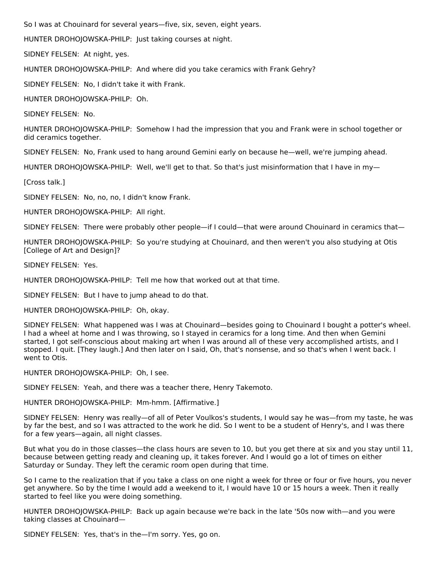So I was at Chouinard for several years—five, six, seven, eight years.

HUNTER DROHOJOWSKA-PHILP: Just taking courses at night.

SIDNEY FELSEN: At night, yes.

HUNTER DROHOJOWSKA-PHILP: And where did you take ceramics with Frank Gehry?

SIDNEY FELSEN: No, I didn't take it with Frank.

HUNTER DROHOJOWSKA-PHILP: Oh.

SIDNEY FELSEN: No.

HUNTER DROHOJOWSKA-PHILP: Somehow I had the impression that you and Frank were in school together or did ceramics together.

SIDNEY FELSEN: No, Frank used to hang around Gemini early on because he—well, we're jumping ahead.

HUNTER DROHOJOWSKA-PHILP: Well, we'll get to that. So that's just misinformation that I have in my-

[Cross talk.]

SIDNEY FELSEN: No, no, no, I didn't know Frank.

HUNTER DROHOJOWSKA-PHILP: All right.

SIDNEY FELSEN: There were probably other people—if I could—that were around Chouinard in ceramics that—

HUNTER DROHOJOWSKA-PHILP: So you're studying at Chouinard, and then weren't you also studying at Otis [College of Art and Design]?

SIDNEY FELSEN: Yes.

HUNTER DROHOJOWSKA-PHILP: Tell me how that worked out at that time.

SIDNEY FELSEN: But I have to jump ahead to do that.

HUNTER DROHOJOWSKA-PHILP: Oh, okay.

SIDNEY FELSEN: What happened was I was at Chouinard—besides going to Chouinard I bought a potter's wheel. I had a wheel at home and I was throwing, so I stayed in ceramics for a long time. And then when Gemini started, I got self-conscious about making art when I was around all of these very accomplished artists, and I stopped. I quit. [They laugh.] And then later on I said, Oh, that's nonsense, and so that's when I went back. I went to Otis.

HUNTER DROHOJOWSKA-PHILP: Oh, I see.

SIDNEY FELSEN: Yeah, and there was a teacher there, Henry Takemoto.

HUNTER DROHOJOWSKA-PHILP: Mm-hmm. [Affirmative.]

SIDNEY FELSEN: Henry was really—of all of Peter Voulkos's students, I would say he was—from my taste, he was by far the best, and so I was attracted to the work he did. So I went to be a student of Henry's, and I was there for a few years—again, all night classes.

But what you do in those classes—the class hours are seven to 10, but you get there at six and you stay until 11, because between getting ready and cleaning up, it takes forever. And I would go a lot of times on either Saturday or Sunday. They left the ceramic room open during that time.

So I came to the realization that if you take a class on one night a week for three or four or five hours, you never get anywhere. So by the time I would add a weekend to it, I would have 10 or 15 hours a week. Then it really started to feel like you were doing something.

HUNTER DROHOJOWSKA-PHILP: Back up again because we're back in the late '50s now with—and you were taking classes at Chouinard—

SIDNEY FELSEN: Yes, that's in the—I'm sorry. Yes, go on.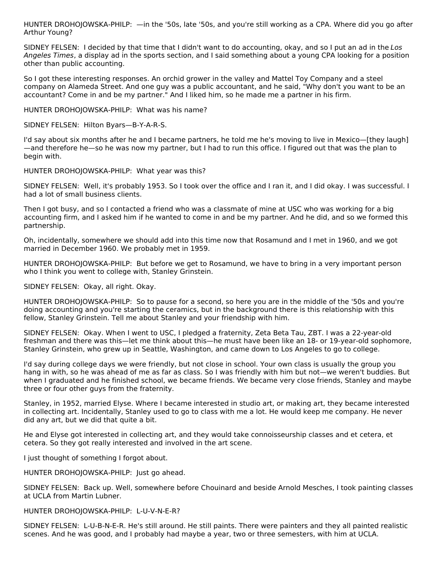HUNTER DROHOJOWSKA-PHILP: —in the '50s, late '50s, and you're still working as a CPA. Where did you go after Arthur Young?

SIDNEY FELSEN: I decided by that time that I didn't want to do accounting, okay, and so I put an ad in the Los Angeles Times, a display ad in the sports section, and I said something about a young CPA looking for a position other than public accounting.

So I got these interesting responses. An orchid grower in the valley and Mattel Toy Company and a steel company on Alameda Street. And one guy was a public accountant, and he said, "Why don't you want to be an accountant? Come in and be my partner." And I liked him, so he made me a partner in his firm.

HUNTER DROHOJOWSKA-PHILP: What was his name?

SIDNEY FELSEN: Hilton Byars—B-Y-A-R-S.

I'd say about six months after he and I became partners, he told me he's moving to live in Mexico—[they laugh] —and therefore he—so he was now my partner, but I had to run this office. I figured out that was the plan to begin with.

HUNTER DROHOJOWSKA-PHILP: What year was this?

SIDNEY FELSEN: Well, it's probably 1953. So I took over the office and I ran it, and I did okay. I was successful. I had a lot of small business clients.

Then I got busy, and so I contacted a friend who was a classmate of mine at USC who was working for a big accounting firm, and I asked him if he wanted to come in and be my partner. And he did, and so we formed this partnership.

Oh, incidentally, somewhere we should add into this time now that Rosamund and I met in 1960, and we got married in December 1960. We probably met in 1959.

HUNTER DROHOJOWSKA-PHILP: But before we get to Rosamund, we have to bring in a very important person who I think you went to college with, Stanley Grinstein.

SIDNEY FELSEN: Okay, all right. Okay.

HUNTER DROHOJOWSKA-PHILP: So to pause for a second, so here you are in the middle of the '50s and you're doing accounting and you're starting the ceramics, but in the background there is this relationship with this fellow, Stanley Grinstein. Tell me about Stanley and your friendship with him.

SIDNEY FELSEN: Okay. When I went to USC, I pledged a fraternity, Zeta Beta Tau, ZBT. I was a 22-year-old freshman and there was this—let me think about this—he must have been like an 18- or 19-year-old sophomore, Stanley Grinstein, who grew up in Seattle, Washington, and came down to Los Angeles to go to college.

I'd say during college days we were friendly, but not close in school. Your own class is usually the group you hang in with, so he was ahead of me as far as class. So I was friendly with him but not—we weren't buddies. But when I graduated and he finished school, we became friends. We became very close friends, Stanley and maybe three or four other guys from the fraternity.

Stanley, in 1952, married Elyse. Where I became interested in studio art, or making art, they became interested in collecting art. Incidentally, Stanley used to go to class with me a lot. He would keep me company. He never did any art, but we did that quite a bit.

He and Elyse got interested in collecting art, and they would take connoisseurship classes and et cetera, et cetera. So they got really interested and involved in the art scene.

I just thought of something I forgot about.

HUNTER DROHOJOWSKA-PHILP: Just go ahead.

SIDNEY FELSEN: Back up. Well, somewhere before Chouinard and beside Arnold Mesches, I took painting classes at UCLA from Martin Lubner.

HUNTER DROHOJOWSKA-PHILP: L-U-V-N-E-R?

SIDNEY FELSEN: L-U-B-N-E-R. He's still around. He still paints. There were painters and they all painted realistic scenes. And he was good, and I probably had maybe a year, two or three semesters, with him at UCLA.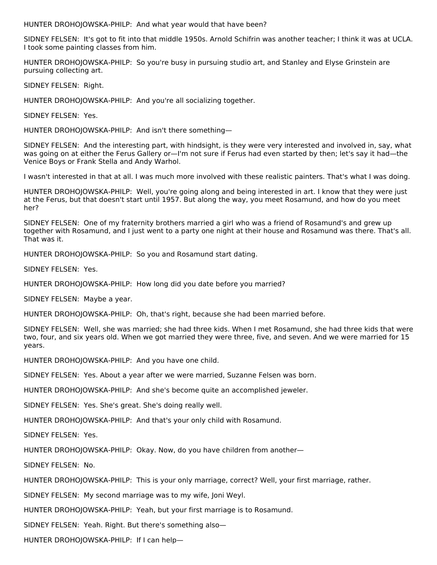HUNTER DROHOJOWSKA-PHILP: And what year would that have been?

SIDNEY FELSEN: It's got to fit into that middle 1950s. Arnold Schifrin was another teacher; I think it was at UCLA. I took some painting classes from him.

HUNTER DROHOJOWSKA-PHILP: So you're busy in pursuing studio art, and Stanley and Elyse Grinstein are pursuing collecting art.

SIDNEY FELSEN: Right.

HUNTER DROHOJOWSKA-PHILP: And you're all socializing together.

SIDNEY FELSEN: Yes.

HUNTER DROHOJOWSKA-PHILP: And isn't there something—

SIDNEY FELSEN: And the interesting part, with hindsight, is they were very interested and involved in, say, what was going on at either the Ferus Gallery or—I'm not sure if Ferus had even started by then; let's say it had—the Venice Boys or Frank Stella and Andy Warhol.

I wasn't interested in that at all. I was much more involved with these realistic painters. That's what I was doing.

HUNTER DROHOJOWSKA-PHILP: Well, you're going along and being interested in art. I know that they were just at the Ferus, but that doesn't start until 1957. But along the way, you meet Rosamund, and how do you meet her?

SIDNEY FELSEN: One of my fraternity brothers married a girl who was a friend of Rosamund's and grew up together with Rosamund, and I just went to a party one night at their house and Rosamund was there. That's all. That was it.

HUNTER DROHOJOWSKA-PHILP: So you and Rosamund start dating.

SIDNEY FELSEN: Yes.

HUNTER DROHOJOWSKA-PHILP: How long did you date before you married?

SIDNEY FELSEN: Maybe a year.

HUNTER DROHOJOWSKA-PHILP: Oh, that's right, because she had been married before.

SIDNEY FELSEN: Well, she was married; she had three kids. When I met Rosamund, she had three kids that were two, four, and six years old. When we got married they were three, five, and seven. And we were married for 15 years.

HUNTER DROHOJOWSKA-PHILP: And you have one child.

SIDNEY FELSEN: Yes. About a year after we were married, Suzanne Felsen was born.

HUNTER DROHOJOWSKA-PHILP: And she's become quite an accomplished jeweler.

SIDNEY FELSEN: Yes. She's great. She's doing really well.

HUNTER DROHOJOWSKA-PHILP: And that's your only child with Rosamund.

SIDNEY FELSEN: Yes.

HUNTER DROHOJOWSKA-PHILP: Okay. Now, do you have children from another—

SIDNEY FELSEN: No.

HUNTER DROHOJOWSKA-PHILP: This is your only marriage, correct? Well, your first marriage, rather.

SIDNEY FELSEN: My second marriage was to my wife, Joni Weyl.

HUNTER DROHOJOWSKA-PHILP: Yeah, but your first marriage is to Rosamund.

SIDNEY FELSEN: Yeah. Right. But there's something also—

HUNTER DROHOJOWSKA-PHILP: If I can help—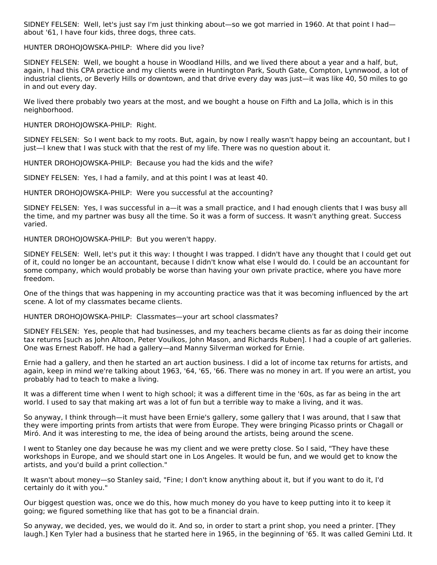SIDNEY FELSEN: Well, let's just say I'm just thinking about—so we got married in 1960. At that point I had about '61, I have four kids, three dogs, three cats.

HUNTER DROHOJOWSKA-PHILP: Where did you live?

SIDNEY FELSEN: Well, we bought a house in Woodland Hills, and we lived there about a year and a half, but, again, I had this CPA practice and my clients were in Huntington Park, South Gate, Compton, Lynnwood, a lot of industrial clients, or Beverly Hills or downtown, and that drive every day was just—it was like 40, 50 miles to go in and out every day.

We lived there probably two years at the most, and we bought a house on Fifth and La Jolla, which is in this neighborhood.

HUNTER DROHOJOWSKA-PHILP: Right.

SIDNEY FELSEN: So I went back to my roots. But, again, by now I really wasn't happy being an accountant, but I just—I knew that I was stuck with that the rest of my life. There was no question about it.

HUNTER DROHOJOWSKA-PHILP: Because you had the kids and the wife?

SIDNEY FELSEN: Yes, I had a family, and at this point I was at least 40.

HUNTER DROHOJOWSKA-PHILP: Were you successful at the accounting?

SIDNEY FELSEN: Yes, I was successful in a—it was a small practice, and I had enough clients that I was busy all the time, and my partner was busy all the time. So it was a form of success. It wasn't anything great. Success varied.

HUNTER DROHOJOWSKA-PHILP: But you weren't happy.

SIDNEY FELSEN: Well, let's put it this way: I thought I was trapped. I didn't have any thought that I could get out of it, could no longer be an accountant, because I didn't know what else I would do. I could be an accountant for some company, which would probably be worse than having your own private practice, where you have more freedom.

One of the things that was happening in my accounting practice was that it was becoming influenced by the art scene. A lot of my classmates became clients.

HUNTER DROHOJOWSKA-PHILP: Classmates—your art school classmates?

SIDNEY FELSEN: Yes, people that had businesses, and my teachers became clients as far as doing their income tax returns [such as John Altoon, Peter Voulkos, John Mason, and Richards Ruben]. I had a couple of art galleries. One was Ernest Raboff. He had a gallery—and Manny Silverman worked for Ernie.

Ernie had a gallery, and then he started an art auction business. I did a lot of income tax returns for artists, and again, keep in mind we're talking about 1963, '64, '65, '66. There was no money in art. If you were an artist, you probably had to teach to make a living.

It was a different time when I went to high school; it was a different time in the '60s, as far as being in the art world. I used to say that making art was a lot of fun but a terrible way to make a living, and it was.

So anyway, I think through—it must have been Ernie's gallery, some gallery that I was around, that I saw that they were importing prints from artists that were from Europe. They were bringing Picasso prints or Chagall or Miró. And it was interesting to me, the idea of being around the artists, being around the scene.

I went to Stanley one day because he was my client and we were pretty close. So I said, "They have these workshops in Europe, and we should start one in Los Angeles. It would be fun, and we would get to know the artists, and you'd build a print collection."

It wasn't about money—so Stanley said, "Fine; I don't know anything about it, but if you want to do it, I'd certainly do it with you."

Our biggest question was, once we do this, how much money do you have to keep putting into it to keep it going; we figured something like that has got to be a financial drain.

So anyway, we decided, yes, we would do it. And so, in order to start a print shop, you need a printer. [They laugh.] Ken Tyler had a business that he started here in 1965, in the beginning of '65. It was called Gemini Ltd. It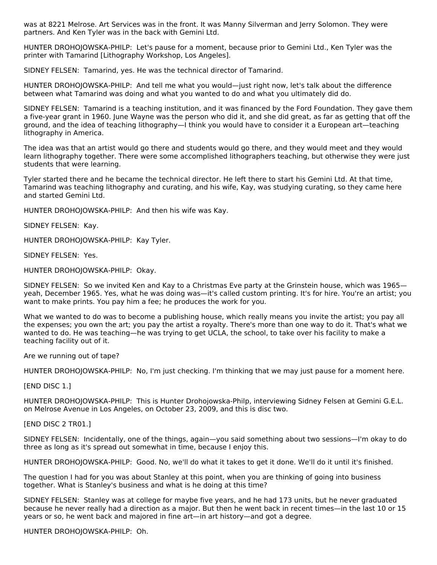was at 8221 Melrose. Art Services was in the front. It was Manny Silverman and Jerry Solomon. They were partners. And Ken Tyler was in the back with Gemini Ltd.

HUNTER DROHOJOWSKA-PHILP: Let's pause for a moment, because prior to Gemini Ltd., Ken Tyler was the printer with Tamarind [Lithography Workshop, Los Angeles].

SIDNEY FELSEN: Tamarind, yes. He was the technical director of Tamarind.

HUNTER DROHOJOWSKA-PHILP: And tell me what you would—just right now, let's talk about the difference between what Tamarind was doing and what you wanted to do and what you ultimately did do.

SIDNEY FELSEN: Tamarind is a teaching institution, and it was financed by the Ford Foundation. They gave them a five-year grant in 1960. June Wayne was the person who did it, and she did great, as far as getting that off the ground, and the idea of teaching lithography—I think you would have to consider it a European art—teaching lithography in America.

The idea was that an artist would go there and students would go there, and they would meet and they would learn lithography together. There were some accomplished lithographers teaching, but otherwise they were just students that were learning.

Tyler started there and he became the technical director. He left there to start his Gemini Ltd. At that time, Tamarind was teaching lithography and curating, and his wife, Kay, was studying curating, so they came here and started Gemini Ltd.

HUNTER DROHOJOWSKA-PHILP: And then his wife was Kay.

SIDNEY FELSEN: Kay.

HUNTER DROHOJOWSKA-PHILP: Kay Tyler.

SIDNEY FELSEN: Yes.

HUNTER DROHOJOWSKA-PHILP: Okay.

SIDNEY FELSEN: So we invited Ken and Kay to a Christmas Eve party at the Grinstein house, which was 1965 yeah, December 1965. Yes, what he was doing was—it's called custom printing. It's for hire. You're an artist; you want to make prints. You pay him a fee; he produces the work for you.

What we wanted to do was to become a publishing house, which really means you invite the artist; you pay all the expenses; you own the art; you pay the artist a royalty. There's more than one way to do it. That's what we wanted to do. He was teaching—he was trying to get UCLA, the school, to take over his facility to make a teaching facility out of it.

Are we running out of tape?

HUNTER DROHOJOWSKA-PHILP: No, I'm just checking. I'm thinking that we may just pause for a moment here.

[END DISC 1.]

HUNTER DROHOJOWSKA-PHILP: This is Hunter Drohojowska-Philp, interviewing Sidney Felsen at Gemini G.E.L. on Melrose Avenue in Los Angeles, on October 23, 2009, and this is disc two.

[END DISC 2 TR01.]

SIDNEY FELSEN: Incidentally, one of the things, again—you said something about two sessions—I'm okay to do three as long as it's spread out somewhat in time, because I enjoy this.

HUNTER DROHOJOWSKA-PHILP: Good. No, we'll do what it takes to get it done. We'll do it until it's finished.

The question I had for you was about Stanley at this point, when you are thinking of going into business together. What is Stanley's business and what is he doing at this time?

SIDNEY FELSEN: Stanley was at college for maybe five years, and he had 173 units, but he never graduated because he never really had a direction as a major. But then he went back in recent times—in the last 10 or 15 years or so, he went back and majored in fine art—in art history—and got a degree.

HUNTER DROHOJOWSKA-PHILP: Oh.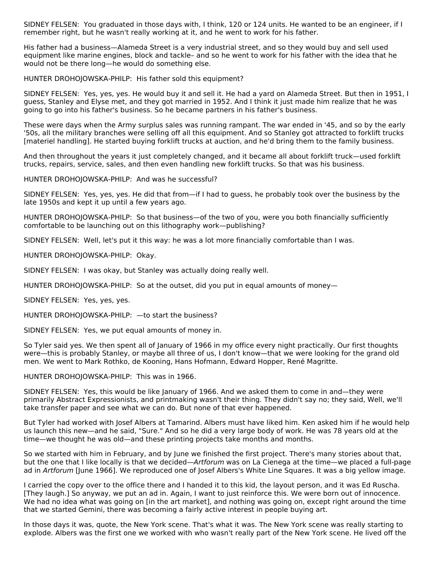SIDNEY FELSEN: You graduated in those days with, I think, 120 or 124 units. He wanted to be an engineer, if I remember right, but he wasn't really working at it, and he went to work for his father.

His father had a business—Alameda Street is a very industrial street, and so they would buy and sell used equipment like marine engines, block and tackle– and so he went to work for his father with the idea that he would not be there long—he would do something else.

HUNTER DROHOJOWSKA-PHILP: His father sold this equipment?

SIDNEY FELSEN: Yes, yes, yes. He would buy it and sell it. He had a yard on Alameda Street. But then in 1951, I guess, Stanley and Elyse met, and they got married in 1952. And I think it just made him realize that he was going to go into his father's business. So he became partners in his father's business.

These were days when the Army surplus sales was running rampant. The war ended in '45, and so by the early '50s, all the military branches were selling off all this equipment. And so Stanley got attracted to forklift trucks [materiel handling]. He started buying forklift trucks at auction, and he'd bring them to the family business.

And then throughout the years it just completely changed, and it became all about forklift truck—used forklift trucks, repairs, service, sales, and then even handling new forklift trucks. So that was his business.

HUNTER DROHOJOWSKA-PHILP: And was he successful?

SIDNEY FELSEN: Yes, yes, yes. He did that from—if I had to guess, he probably took over the business by the late 1950s and kept it up until a few years ago.

HUNTER DROHOJOWSKA-PHILP: So that business—of the two of you, were you both financially sufficiently comfortable to be launching out on this lithography work—publishing?

SIDNEY FELSEN: Well, let's put it this way: he was a lot more financially comfortable than I was.

HUNTER DROHOJOWSKA-PHILP: Okay.

SIDNEY FELSEN: I was okay, but Stanley was actually doing really well.

HUNTER DROHOJOWSKA-PHILP: So at the outset, did you put in equal amounts of money—

SIDNEY FELSEN: Yes, yes, yes.

HUNTER DROHOJOWSKA-PHILP: - to start the business?

SIDNEY FELSEN: Yes, we put equal amounts of money in.

So Tyler said yes. We then spent all of January of 1966 in my office every night practically. Our first thoughts were—this is probably Stanley, or maybe all three of us, I don't know—that we were looking for the grand old men. We went to Mark Rothko, de Kooning, Hans Hofmann, Edward Hopper, René Magritte.

HUNTER DROHOJOWSKA-PHILP: This was in 1966.

SIDNEY FELSEN: Yes, this would be like January of 1966. And we asked them to come in and—they were primarily Abstract Expressionists, and printmaking wasn't their thing. They didn't say no; they said, Well, we'll take transfer paper and see what we can do. But none of that ever happened.

But Tyler had worked with Josef Albers at Tamarind. Albers must have liked him. Ken asked him if he would help us launch this new—and he said, "Sure." And so he did a very large body of work. He was 78 years old at the time—we thought he was old—and these printing projects take months and months.

So we started with him in February, and by June we finished the first project. There's many stories about that, but the one that I like locally is that we decided—Artforum was on La Cienega at the time—we placed a full-page ad in Artforum [June 1966]. We reproduced one of Josef Albers's White Line Squares. It was a big yellow image.

I carried the copy over to the office there and I handed it to this kid, the layout person, and it was Ed Ruscha. [They laugh.] So anyway, we put an ad in. Again, I want to just reinforce this. We were born out of innocence. We had no idea what was going on [in the art market], and nothing was going on, except right around the time that we started Gemini, there was becoming a fairly active interest in people buying art.

In those days it was, quote, the New York scene. That's what it was. The New York scene was really starting to explode. Albers was the first one we worked with who wasn't really part of the New York scene. He lived off the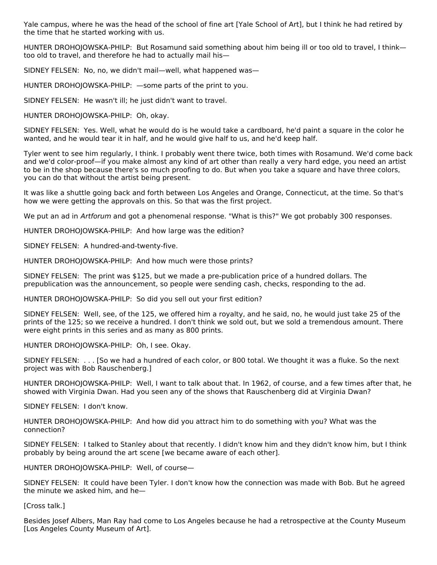Yale campus, where he was the head of the school of fine art [Yale School of Art], but I think he had retired by the time that he started working with us.

HUNTER DROHOJOWSKA-PHILP: But Rosamund said something about him being ill or too old to travel, I thinktoo old to travel, and therefore he had to actually mail his—

SIDNEY FELSEN: No, no, we didn't mail—well, what happened was—

HUNTER DROHOJOWSKA-PHILP: —some parts of the print to you.

SIDNEY FELSEN: He wasn't ill; he just didn't want to travel.

HUNTER DROHOJOWSKA-PHILP: Oh, okay.

SIDNEY FELSEN: Yes. Well, what he would do is he would take a cardboard, he'd paint a square in the color he wanted, and he would tear it in half, and he would give half to us, and he'd keep half.

Tyler went to see him regularly, I think. I probably went there twice, both times with Rosamund. We'd come back and we'd color-proof—if you make almost any kind of art other than really a very hard edge, you need an artist to be in the shop because there's so much proofing to do. But when you take a square and have three colors, you can do that without the artist being present.

It was like a shuttle going back and forth between Los Angeles and Orange, Connecticut, at the time. So that's how we were getting the approvals on this. So that was the first project.

We put an ad in Artforum and got a phenomenal response. "What is this?" We got probably 300 responses.

HUNTER DROHOJOWSKA-PHILP: And how large was the edition?

SIDNEY FELSEN: A hundred-and-twenty-five.

HUNTER DROHOJOWSKA-PHILP: And how much were those prints?

SIDNEY FELSEN: The print was \$125, but we made a pre-publication price of a hundred dollars. The prepublication was the announcement, so people were sending cash, checks, responding to the ad.

HUNTER DROHOJOWSKA-PHILP: So did you sell out your first edition?

SIDNEY FELSEN: Well, see, of the 125, we offered him a royalty, and he said, no, he would just take 25 of the prints of the 125; so we receive a hundred. I don't think we sold out, but we sold a tremendous amount. There were eight prints in this series and as many as 800 prints.

HUNTER DROHOJOWSKA-PHILP: Oh, I see. Okay.

SIDNEY FELSEN: . . . [So we had a hundred of each color, or 800 total. We thought it was a fluke. So the next project was with Bob Rauschenberg.]

HUNTER DROHOJOWSKA-PHILP: Well, I want to talk about that. In 1962, of course, and a few times after that, he showed with Virginia Dwan. Had you seen any of the shows that Rauschenberg did at Virginia Dwan?

SIDNEY FELSEN: I don't know.

HUNTER DROHOJOWSKA-PHILP: And how did you attract him to do something with you? What was the connection?

SIDNEY FELSEN: I talked to Stanley about that recently. I didn't know him and they didn't know him, but I think probably by being around the art scene [we became aware of each other].

HUNTER DROHOJOWSKA-PHILP: Well, of course—

SIDNEY FELSEN: It could have been Tyler. I don't know how the connection was made with Bob. But he agreed the minute we asked him, and he—

[Cross talk.]

Besides Josef Albers, Man Ray had come to Los Angeles because he had a retrospective at the County Museum [Los Angeles County Museum of Art].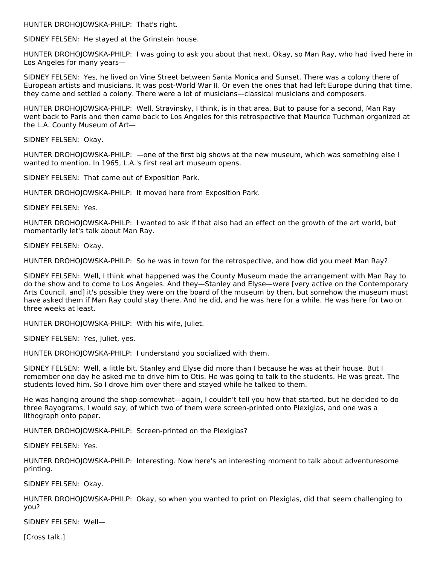HUNTER DROHOJOWSKA-PHILP: That's right.

SIDNEY FELSEN: He stayed at the Grinstein house.

HUNTER DROHOJOWSKA-PHILP: I was going to ask you about that next. Okay, so Man Ray, who had lived here in Los Angeles for many years—

SIDNEY FELSEN: Yes, he lived on Vine Street between Santa Monica and Sunset. There was a colony there of European artists and musicians. It was post-World War II. Or even the ones that had left Europe during that time, they came and settled a colony. There were a lot of musicians—classical musicians and composers.

HUNTER DROHOJOWSKA-PHILP: Well, Stravinsky, I think, is in that area. But to pause for a second, Man Ray went back to Paris and then came back to Los Angeles for this retrospective that Maurice Tuchman organized at the L.A. County Museum of Art—

SIDNEY FELSEN: Okay.

HUNTER DROHOJOWSKA-PHILP: —one of the first big shows at the new museum, which was something else I wanted to mention. In 1965, L.A.'s first real art museum opens.

SIDNEY FELSEN: That came out of Exposition Park.

HUNTER DROHOJOWSKA-PHILP: It moved here from Exposition Park.

SIDNEY FELSEN: Yes.

HUNTER DROHOJOWSKA-PHILP: I wanted to ask if that also had an effect on the growth of the art world, but momentarily let's talk about Man Ray.

SIDNEY FELSEN: Okay.

HUNTER DROHOJOWSKA-PHILP: So he was in town for the retrospective, and how did you meet Man Ray?

SIDNEY FELSEN: Well, I think what happened was the County Museum made the arrangement with Man Ray to do the show and to come to Los Angeles. And they—Stanley and Elyse—were [very active on the Contemporary Arts Council, and] it's possible they were on the board of the museum by then, but somehow the museum must have asked them if Man Ray could stay there. And he did, and he was here for a while. He was here for two or three weeks at least.

HUNTER DROHOJOWSKA-PHILP: With his wife, Juliet.

SIDNEY FELSEN: Yes, Juliet, yes.

HUNTER DROHOJOWSKA-PHILP: I understand you socialized with them.

SIDNEY FELSEN: Well, a little bit. Stanley and Elyse did more than I because he was at their house. But I remember one day he asked me to drive him to Otis. He was going to talk to the students. He was great. The students loved him. So I drove him over there and stayed while he talked to them.

He was hanging around the shop somewhat—again, I couldn't tell you how that started, but he decided to do three Rayograms, I would say, of which two of them were screen-printed onto Plexiglas, and one was a lithograph onto paper.

HUNTER DROHOJOWSKA-PHILP: Screen-printed on the Plexiglas?

SIDNEY FELSEN: Yes.

HUNTER DROHOJOWSKA-PHILP: Interesting. Now here's an interesting moment to talk about adventuresome printing.

SIDNEY FELSEN: Okay.

HUNTER DROHOJOWSKA-PHILP: Okay, so when you wanted to print on Plexiglas, did that seem challenging to you?

SIDNEY FELSEN: Well—

[Cross talk.]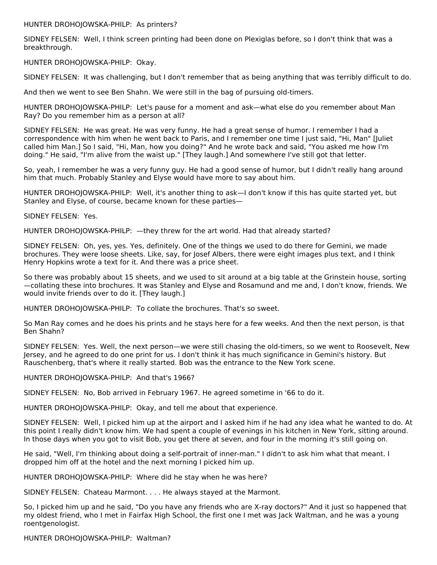HUNTER DROHOJOWSKA-PHILP: As printers?

SIDNEY FELSEN: Well, I think screen printing had been done on Plexiglas before, so I don't think that was a breakthrough.

HUNTER DROHOJOWSKA-PHILP: Okay.

SIDNEY FELSEN: It was challenging, but I don't remember that as being anything that was terribly difficult to do.

And then we went to see Ben Shahn. We were still in the bag of pursuing old-timers.

HUNTER DROHOJOWSKA-PHILP: Let's pause for a moment and ask—what else do you remember about Man Ray? Do you remember him as a person at all?

SIDNEY FELSEN: He was great. He was very funny. He had a great sense of humor. I remember I had a correspondence with him when he went back to Paris, and I remember one time I just said, "Hi, Man" [Juliet called him Man.] So I said, "Hi, Man, how you doing?" And he wrote back and said, "You asked me how I'm doing." He said, "I'm alive from the waist up." [They laugh.] And somewhere I've still got that letter.

So, yeah, I remember he was a very funny guy. He had a good sense of humor, but I didn't really hang around him that much. Probably Stanley and Elyse would have more to say about him.

HUNTER DROHOJOWSKA-PHILP: Well, it's another thing to ask—I don't know if this has quite started yet, but Stanley and Elyse, of course, became known for these parties—

SIDNEY FELSEN: Yes.

HUNTER DROHOJOWSKA-PHILP: —they threw for the art world. Had that already started?

SIDNEY FELSEN: Oh, yes, yes. Yes, definitely. One of the things we used to do there for Gemini, we made brochures. They were loose sheets. Like, say, for Josef Albers, there were eight images plus text, and I think Henry Hopkins wrote a text for it. And there was a price sheet.

So there was probably about 15 sheets, and we used to sit around at a big table at the Grinstein house, sorting —collating these into brochures. It was Stanley and Elyse and Rosamund and me and, I don't know, friends. We would invite friends over to do it. [They laugh.]

HUNTER DROHOJOWSKA-PHILP: To collate the brochures. That's so sweet.

So Man Ray comes and he does his prints and he stays here for a few weeks. And then the next person, is that Ben Shahn?

SIDNEY FELSEN: Yes. Well, the next person—we were still chasing the old-timers, so we went to Roosevelt, New Jersey, and he agreed to do one print for us. I don't think it has much significance in Gemini's history. But Rauschenberg, that's where it really started. Bob was the entrance to the New York scene.

HUNTER DROHOJOWSKA-PHILP: And that's 1966?

SIDNEY FELSEN: No, Bob arrived in February 1967. He agreed sometime in '66 to do it.

HUNTER DROHOJOWSKA-PHILP: Okay, and tell me about that experience.

SIDNEY FELSEN: Well, I picked him up at the airport and I asked him if he had any idea what he wanted to do. At this point I really didn't know him. We had spent a couple of evenings in his kitchen in New York, sitting around. In those days when you got to visit Bob, you get there at seven, and four in the morning it's still going on.

He said, "Well, I'm thinking about doing a self-portrait of inner-man." I didn't to ask him what that meant. I dropped him off at the hotel and the next morning I picked him up.

HUNTER DROHOJOWSKA-PHILP: Where did he stay when he was here?

SIDNEY FELSEN: Chateau Marmont. . . . He always stayed at the Marmont.

So, I picked him up and he said, "Do you have any friends who are X-ray doctors?" And it just so happened that my oldest friend, who I met in Fairfax High School, the first one I met was Jack Waltman, and he was a young roentgenologist.

HUNTER DROHOJOWSKA-PHILP: Waltman?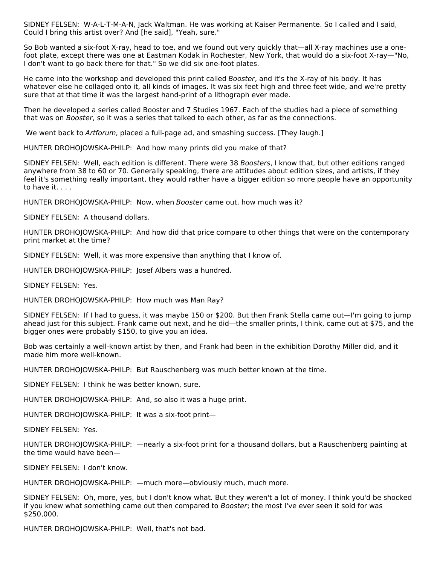SIDNEY FELSEN: W-A-L-T-M-A-N, Jack Waltman. He was working at Kaiser Permanente. So I called and I said, Could I bring this artist over? And [he said], "Yeah, sure."

So Bob wanted a six-foot X-ray, head to toe, and we found out very quickly that—all X-ray machines use a onefoot plate, except there was one at Eastman Kodak in Rochester, New York, that would do a six-foot X-ray—"No, I don't want to go back there for that." So we did six one-foot plates.

He came into the workshop and developed this print called Booster, and it's the X-ray of his body. It has whatever else he collaged onto it, all kinds of images. It was six feet high and three feet wide, and we're pretty sure that at that time it was the largest hand-print of a lithograph ever made.

Then he developed a series called Booster and 7 Studies 1967. Each of the studies had a piece of something that was on Booster, so it was a series that talked to each other, as far as the connections.

We went back to Artforum, placed a full-page ad, and smashing success. [They laugh.]

HUNTER DROHOJOWSKA-PHILP: And how many prints did you make of that?

SIDNEY FELSEN: Well, each edition is different. There were 38 Boosters, I know that, but other editions ranged anywhere from 38 to 60 or 70. Generally speaking, there are attitudes about edition sizes, and artists, if they feel it's something really important, they would rather have a bigger edition so more people have an opportunity to have it. . . .

HUNTER DROHOJOWSKA-PHILP: Now, when Booster came out, how much was it?

SIDNEY FELSEN: A thousand dollars.

HUNTER DROHOJOWSKA-PHILP: And how did that price compare to other things that were on the contemporary print market at the time?

SIDNEY FELSEN: Well, it was more expensive than anything that I know of.

HUNTER DROHOJOWSKA-PHILP: Josef Albers was a hundred.

SIDNEY FELSEN: Yes.

HUNTER DROHOJOWSKA-PHILP: How much was Man Ray?

SIDNEY FELSEN: If I had to guess, it was maybe 150 or \$200. But then Frank Stella came out—I'm going to jump ahead just for this subject. Frank came out next, and he did—the smaller prints, I think, came out at \$75, and the bigger ones were probably \$150, to give you an idea.

Bob was certainly a well-known artist by then, and Frank had been in the exhibition Dorothy Miller did, and it made him more well-known.

HUNTER DROHOJOWSKA-PHILP: But Rauschenberg was much better known at the time.

SIDNEY FELSEN: I think he was better known, sure.

HUNTER DROHOJOWSKA-PHILP: And, so also it was a huge print.

HUNTER DROHOJOWSKA-PHILP: It was a six-foot print—

SIDNEY FELSEN: Yes.

HUNTER DROHOJOWSKA-PHILP: —nearly a six-foot print for a thousand dollars, but a Rauschenberg painting at the time would have been—

SIDNEY FELSEN: I don't know.

HUNTER DROHOJOWSKA-PHILP: —much more—obviously much, much more.

SIDNEY FELSEN: Oh, more, yes, but I don't know what. But they weren't a lot of money. I think you'd be shocked if you knew what something came out then compared to Booster; the most I've ever seen it sold for was \$250,000.

HUNTER DROHOJOWSKA-PHILP: Well, that's not bad.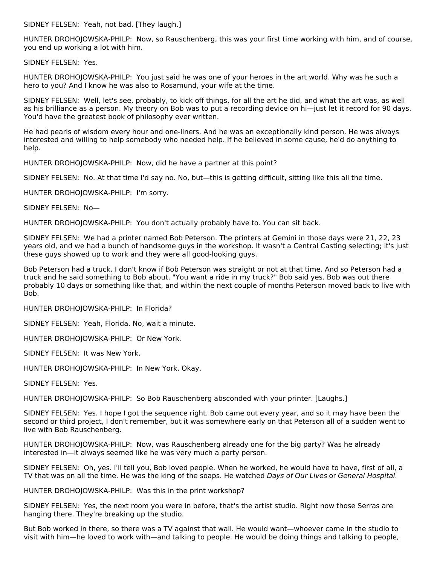SIDNEY FELSEN: Yeah, not bad. [They laugh.]

HUNTER DROHOJOWSKA-PHILP: Now, so Rauschenberg, this was your first time working with him, and of course, you end up working a lot with him.

SIDNEY FELSEN: Yes.

HUNTER DROHOJOWSKA-PHILP: You just said he was one of your heroes in the art world. Why was he such a hero to you? And I know he was also to Rosamund, your wife at the time.

SIDNEY FELSEN: Well, let's see, probably, to kick off things, for all the art he did, and what the art was, as well as his brilliance as a person. My theory on Bob was to put a recording device on hi—just let it record for 90 days. You'd have the greatest book of philosophy ever written.

He had pearls of wisdom every hour and one-liners. And he was an exceptionally kind person. He was always interested and willing to help somebody who needed help. If he believed in some cause, he'd do anything to help.

HUNTER DROHOJOWSKA-PHILP: Now, did he have a partner at this point?

SIDNEY FELSEN: No. At that time I'd say no. No, but—this is getting difficult, sitting like this all the time.

HUNTER DROHOJOWSKA-PHILP: I'm sorry.

SIDNEY FELSEN: No—

HUNTER DROHOJOWSKA-PHILP: You don't actually probably have to. You can sit back.

SIDNEY FELSEN: We had a printer named Bob Peterson. The printers at Gemini in those days were 21, 22, 23 years old, and we had a bunch of handsome guys in the workshop. It wasn't a Central Casting selecting; it's just these guys showed up to work and they were all good-looking guys.

Bob Peterson had a truck. I don't know if Bob Peterson was straight or not at that time. And so Peterson had a truck and he said something to Bob about, "You want a ride in my truck?" Bob said yes. Bob was out there probably 10 days or something like that, and within the next couple of months Peterson moved back to live with Bob.

HUNTER DROHOJOWSKA-PHILP: In Florida?

SIDNEY FELSEN: Yeah, Florida. No, wait a minute.

HUNTER DROHOJOWSKA-PHILP: Or New York.

SIDNEY FELSEN: It was New York.

HUNTER DROHOJOWSKA-PHILP: In New York. Okay.

SIDNEY FELSEN: Yes.

HUNTER DROHOJOWSKA-PHILP: So Bob Rauschenberg absconded with your printer. [Laughs.]

SIDNEY FELSEN: Yes. I hope I got the sequence right. Bob came out every year, and so it may have been the second or third project, I don't remember, but it was somewhere early on that Peterson all of a sudden went to live with Bob Rauschenberg.

HUNTER DROHOJOWSKA-PHILP: Now, was Rauschenberg already one for the big party? Was he already interested in—it always seemed like he was very much a party person.

SIDNEY FELSEN: Oh, yes. I'll tell you, Bob loved people. When he worked, he would have to have, first of all, a TV that was on all the time. He was the king of the soaps. He watched Days of Our Lives or General Hospital.

HUNTER DROHOJOWSKA-PHILP: Was this in the print workshop?

SIDNEY FELSEN: Yes, the next room you were in before, that's the artist studio. Right now those Serras are hanging there. They're breaking up the studio.

But Bob worked in there, so there was a TV against that wall. He would want—whoever came in the studio to visit with him—he loved to work with—and talking to people. He would be doing things and talking to people,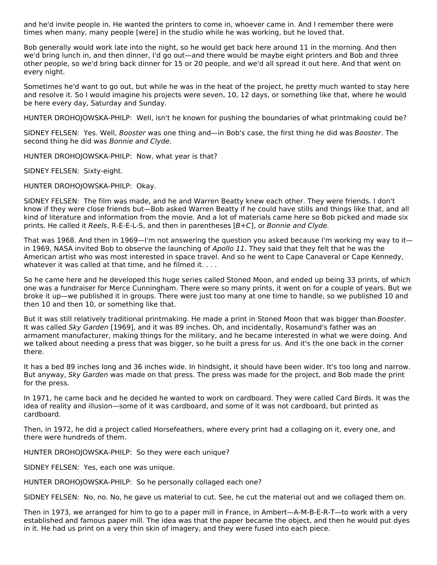and he'd invite people in. He wanted the printers to come in, whoever came in. And I remember there were times when many, many people [were] in the studio while he was working, but he loved that.

Bob generally would work late into the night, so he would get back here around 11 in the morning. And then we'd bring lunch in, and then dinner, I'd go out—and there would be maybe eight printers and Bob and three other people, so we'd bring back dinner for 15 or 20 people, and we'd all spread it out here. And that went on every night.

Sometimes he'd want to go out, but while he was in the heat of the project, he pretty much wanted to stay here and resolve it. So I would imagine his projects were seven, 10, 12 days, or something like that, where he would be here every day, Saturday and Sunday.

HUNTER DROHOJOWSKA-PHILP: Well, isn't he known for pushing the boundaries of what printmaking could be?

SIDNEY FELSEN: Yes. Well, Booster was one thing and—in Bob's case, the first thing he did was Booster. The second thing he did was Bonnie and Clyde.

HUNTER DROHOJOWSKA-PHILP: Now, what year is that?

SIDNEY FELSEN: Sixty-eight.

HUNTER DROHOJOWSKA-PHILP: Okay.

SIDNEY FELSEN: The film was made, and he and Warren Beatty knew each other. They were friends. I don't know if they were close friends but—Bob asked Warren Beatty if he could have stills and things like that, and all kind of literature and information from the movie. And a lot of materials came here so Bob picked and made six prints. He called it Reels, R-E-E-L-S, and then in parentheses [B+C], or Bonnie and Clyde.

That was 1968. And then in 1969—I'm not answering the question you asked because I'm working my way to it in 1969. NASA invited Bob to observe the launching of Apollo 11. They said that they felt that he was the American artist who was most interested in space travel. And so he went to Cape Canaveral or Cape Kennedy, whatever it was called at that time, and he filmed it. . . .

So he came here and he developed this huge series called Stoned Moon, and ended up being 33 prints, of which one was a fundraiser for Merce Cunningham. There were so many prints, it went on for a couple of years. But we broke it up—we published it in groups. There were just too many at one time to handle, so we published 10 and then 10 and then 10, or something like that.

But it was still relatively traditional printmaking. He made a print in Stoned Moon that was bigger than Booster. It was called Sky Garden [1969], and it was 89 inches. Oh, and incidentally, Rosamund's father was an armament manufacturer, making things for the military, and he became interested in what we were doing. And we talked about needing a press that was bigger, so he built a press for us. And it's the one back in the corner there.

It has a bed 89 inches long and 36 inches wide. In hindsight, it should have been wider. It's too long and narrow. But anyway, Sky Garden was made on that press. The press was made for the project, and Bob made the print for the press.

In 1971, he came back and he decided he wanted to work on cardboard. They were called Card Birds. It was the idea of reality and illusion—some of it was cardboard, and some of it was not cardboard, but printed as cardboard.

Then, in 1972, he did a project called Horsefeathers, where every print had a collaging on it, every one, and there were hundreds of them.

HUNTER DROHOJOWSKA-PHILP: So they were each unique?

SIDNEY FELSEN: Yes, each one was unique.

HUNTER DROHOJOWSKA-PHILP: So he personally collaged each one?

SIDNEY FELSEN: No, no. No, he gave us material to cut. See, he cut the material out and we collaged them on.

Then in 1973, we arranged for him to go to a paper mill in France, in Ambert—A-M-B-E-R-T—to work with a very established and famous paper mill. The idea was that the paper became the object, and then he would put dyes in it. He had us print on a very thin skin of imagery, and they were fused into each piece.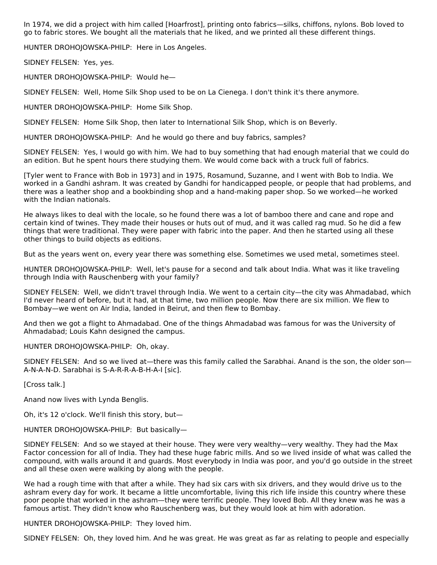In 1974, we did a project with him called [Hoarfrost], printing onto fabrics—silks, chiffons, nylons. Bob loved to go to fabric stores. We bought all the materials that he liked, and we printed all these different things.

HUNTER DROHOJOWSKA-PHILP: Here in Los Angeles.

SIDNEY FELSEN: Yes, yes.

HUNTER DROHOJOWSKA-PHILP: Would he—

SIDNEY FELSEN: Well, Home Silk Shop used to be on La Cienega. I don't think it's there anymore.

HUNTER DROHOJOWSKA-PHILP: Home Silk Shop.

SIDNEY FELSEN: Home Silk Shop, then later to International Silk Shop, which is on Beverly.

HUNTER DROHOJOWSKA-PHILP: And he would go there and buy fabrics, samples?

SIDNEY FELSEN: Yes, I would go with him. We had to buy something that had enough material that we could do an edition. But he spent hours there studying them. We would come back with a truck full of fabrics.

[Tyler went to France with Bob in 1973] and in 1975, Rosamund, Suzanne, and I went with Bob to India. We worked in a Gandhi ashram. It was created by Gandhi for handicapped people, or people that had problems, and there was a leather shop and a bookbinding shop and a hand-making paper shop. So we worked—he worked with the Indian nationals.

He always likes to deal with the locale, so he found there was a lot of bamboo there and cane and rope and certain kind of twines. They made their houses or huts out of mud, and it was called rag mud. So he did a few things that were traditional. They were paper with fabric into the paper. And then he started using all these other things to build objects as editions.

But as the years went on, every year there was something else. Sometimes we used metal, sometimes steel.

HUNTER DROHOJOWSKA-PHILP: Well, let's pause for a second and talk about India. What was it like traveling through India with Rauschenberg with your family?

SIDNEY FELSEN: Well, we didn't travel through India. We went to a certain city—the city was Ahmadabad, which I'd never heard of before, but it had, at that time, two million people. Now there are six million. We flew to Bombay—we went on Air India, landed in Beirut, and then flew to Bombay.

And then we got a flight to Ahmadabad. One of the things Ahmadabad was famous for was the University of Ahmadabad; Louis Kahn designed the campus.

HUNTER DROHOJOWSKA-PHILP: Oh, okay.

SIDNEY FELSEN: And so we lived at—there was this family called the Sarabhai. Anand is the son, the older son— A-N-A-N-D. Sarabhai is S-A-R-R-A-B-H-A-I [sic].

[Cross talk.]

Anand now lives with Lynda Benglis.

Oh, it's 12 o'clock. We'll finish this story, but—

HUNTER DROHOJOWSKA-PHILP: But basically—

SIDNEY FELSEN: And so we stayed at their house. They were very wealthy—very wealthy. They had the Max Factor concession for all of India. They had these huge fabric mills. And so we lived inside of what was called the compound, with walls around it and guards. Most everybody in India was poor, and you'd go outside in the street and all these oxen were walking by along with the people.

We had a rough time with that after a while. They had six cars with six drivers, and they would drive us to the ashram every day for work. It became a little uncomfortable, living this rich life inside this country where these poor people that worked in the ashram—they were terrific people. They loved Bob. All they knew was he was a famous artist. They didn't know who Rauschenberg was, but they would look at him with adoration.

HUNTER DROHOJOWSKA-PHILP: They loved him.

SIDNEY FELSEN: Oh, they loved him. And he was great. He was great as far as relating to people and especially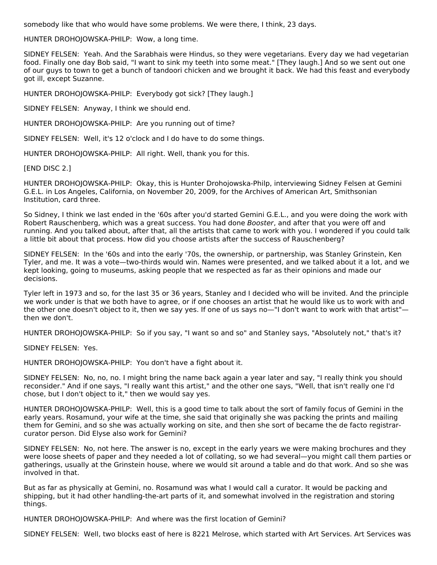somebody like that who would have some problems. We were there, I think, 23 days.

HUNTER DROHOJOWSKA-PHILP: Wow, a long time.

SIDNEY FELSEN: Yeah. And the Sarabhais were Hindus, so they were vegetarians. Every day we had vegetarian food. Finally one day Bob said, "I want to sink my teeth into some meat." [They laugh.] And so we sent out one of our guys to town to get a bunch of tandoori chicken and we brought it back. We had this feast and everybody got ill, except Suzanne.

HUNTER DROHOJOWSKA-PHILP: Everybody got sick? [They laugh.]

SIDNEY FELSEN: Anyway, I think we should end.

HUNTER DROHOJOWSKA-PHILP: Are you running out of time?

SIDNEY FELSEN: Well, it's 12 o'clock and I do have to do some things.

HUNTER DROHOJOWSKA-PHILP: All right. Well, thank you for this.

[END DISC 2.]

HUNTER DROHOJOWSKA-PHILP: Okay, this is Hunter Drohojowska-Philp, interviewing Sidney Felsen at Gemini G.E.L. in Los Angeles, California, on November 20, 2009, for the Archives of American Art, Smithsonian Institution, card three.

So Sidney, I think we last ended in the '60s after you'd started Gemini G.E.L., and you were doing the work with Robert Rauschenberg, which was a great success. You had done Booster, and after that you were off and running. And you talked about, after that, all the artists that came to work with you. I wondered if you could talk a little bit about that process. How did you choose artists after the success of Rauschenberg?

SIDNEY FELSEN: In the '60s and into the early '70s, the ownership, or partnership, was Stanley Grinstein, Ken Tyler, and me. It was a vote—two-thirds would win. Names were presented, and we talked about it a lot, and we kept looking, going to museums, asking people that we respected as far as their opinions and made our decisions.

Tyler left in 1973 and so, for the last 35 or 36 years, Stanley and I decided who will be invited. And the principle we work under is that we both have to agree, or if one chooses an artist that he would like us to work with and the other one doesn't object to it, then we say yes. If one of us says no-"I don't want to work with that artist"then we don't.

HUNTER DROHOJOWSKA-PHILP: So if you say, "I want so and so" and Stanley says, "Absolutely not," that's it?

SIDNEY FELSEN: Yes.

HUNTER DROHOJOWSKA-PHILP: You don't have a fight about it.

SIDNEY FELSEN: No, no, no. I might bring the name back again a year later and say, "I really think you should reconsider." And if one says, "I really want this artist," and the other one says, "Well, that isn't really one I'd chose, but I don't object to it," then we would say yes.

HUNTER DROHOJOWSKA-PHILP: Well, this is a good time to talk about the sort of family focus of Gemini in the early years. Rosamund, your wife at the time, she said that originally she was packing the prints and mailing them for Gemini, and so she was actually working on site, and then she sort of became the de facto registrarcurator person. Did Elyse also work for Gemini?

SIDNEY FELSEN: No, not here. The answer is no, except in the early years we were making brochures and they were loose sheets of paper and they needed a lot of collating, so we had several—you might call them parties or gatherings, usually at the Grinstein house, where we would sit around a table and do that work. And so she was involved in that.

But as far as physically at Gemini, no. Rosamund was what I would call a curator. It would be packing and shipping, but it had other handling-the-art parts of it, and somewhat involved in the registration and storing things.

HUNTER DROHOJOWSKA-PHILP: And where was the first location of Gemini?

SIDNEY FELSEN: Well, two blocks east of here is 8221 Melrose, which started with Art Services. Art Services was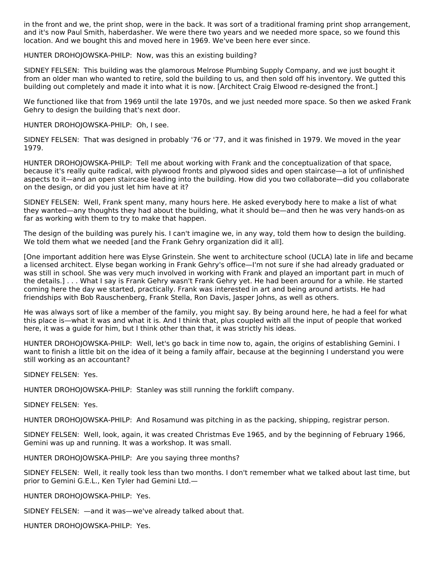in the front and we, the print shop, were in the back. It was sort of a traditional framing print shop arrangement, and it's now Paul Smith, haberdasher. We were there two years and we needed more space, so we found this location. And we bought this and moved here in 1969. We've been here ever since.

HUNTER DROHOJOWSKA-PHILP: Now, was this an existing building?

SIDNEY FELSEN: This building was the glamorous Melrose Plumbing Supply Company, and we just bought it from an older man who wanted to retire, sold the building to us, and then sold off his inventory. We gutted this building out completely and made it into what it is now. [Architect Craig Elwood re-designed the front.]

We functioned like that from 1969 until the late 1970s, and we just needed more space. So then we asked Frank Gehry to design the building that's next door.

HUNTER DROHOJOWSKA-PHILP: Oh, I see.

SIDNEY FELSEN: That was designed in probably '76 or '77, and it was finished in 1979. We moved in the year 1979.

HUNTER DROHOJOWSKA-PHILP: Tell me about working with Frank and the conceptualization of that space, because it's really quite radical, with plywood fronts and plywood sides and open staircase—a lot of unfinished aspects to it—and an open staircase leading into the building. How did you two collaborate—did you collaborate on the design, or did you just let him have at it?

SIDNEY FELSEN: Well, Frank spent many, many hours here. He asked everybody here to make a list of what they wanted—any thoughts they had about the building, what it should be—and then he was very hands-on as far as working with them to try to make that happen.

The design of the building was purely his. I can't imagine we, in any way, told them how to design the building. We told them what we needed [and the Frank Gehry organization did it all].

[One important addition here was Elyse Grinstein. She went to architecture school (UCLA) late in life and became a licensed architect. Elyse began working in Frank Gehry's office—I'm not sure if she had already graduated or was still in school. She was very much involved in working with Frank and played an important part in much of the details.] . . . What I say is Frank Gehry wasn't Frank Gehry yet. He had been around for a while. He started coming here the day we started, practically. Frank was interested in art and being around artists. He had friendships with Bob Rauschenberg, Frank Stella, Ron Davis, Jasper Johns, as well as others.

He was always sort of like a member of the family, you might say. By being around here, he had a feel for what this place is—what it was and what it is. And I think that, plus coupled with all the input of people that worked here, it was a guide for him, but I think other than that, it was strictly his ideas.

HUNTER DROHOJOWSKA-PHILP: Well, let's go back in time now to, again, the origins of establishing Gemini. I want to finish a little bit on the idea of it being a family affair, because at the beginning I understand you were still working as an accountant?

SIDNEY FELSEN: Yes.

HUNTER DROHOJOWSKA-PHILP: Stanley was still running the forklift company.

SIDNEY FELSEN: Yes.

HUNTER DROHOJOWSKA-PHILP: And Rosamund was pitching in as the packing, shipping, registrar person.

SIDNEY FELSEN: Well, look, again, it was created Christmas Eve 1965, and by the beginning of February 1966, Gemini was up and running. It was a workshop. It was small.

HUNTER DROHOJOWSKA-PHILP: Are you saying three months?

SIDNEY FELSEN: Well, it really took less than two months. I don't remember what we talked about last time, but prior to Gemini G.E.L., Ken Tyler had Gemini Ltd.—

HUNTER DROHOJOWSKA-PHILP: Yes.

SIDNEY FELSEN: —and it was—we've already talked about that.

HUNTER DROHOJOWSKA-PHILP: Yes.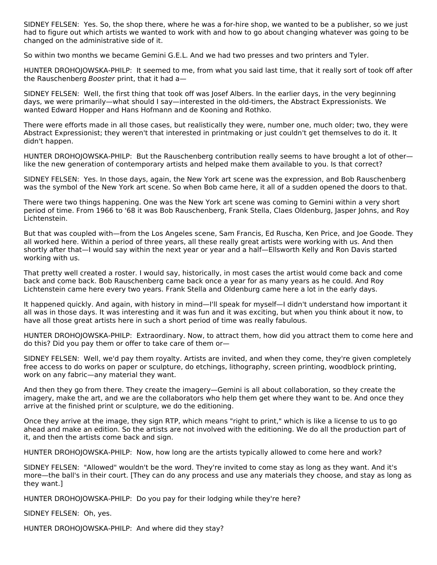SIDNEY FELSEN: Yes. So, the shop there, where he was a for-hire shop, we wanted to be a publisher, so we just had to figure out which artists we wanted to work with and how to go about changing whatever was going to be changed on the administrative side of it.

So within two months we became Gemini G.E.L. And we had two presses and two printers and Tyler.

HUNTER DROHOJOWSKA-PHILP: It seemed to me, from what you said last time, that it really sort of took off after the Rauschenberg Booster print, that it had a—

SIDNEY FELSEN: Well, the first thing that took off was Josef Albers. In the earlier days, in the very beginning days, we were primarily—what should I say—interested in the old-timers, the Abstract Expressionists. We wanted Edward Hopper and Hans Hofmann and de Kooning and Rothko.

There were efforts made in all those cases, but realistically they were, number one, much older; two, they were Abstract Expressionist; they weren't that interested in printmaking or just couldn't get themselves to do it. It didn't happen.

HUNTER DROHOJOWSKA-PHILP: But the Rauschenberg contribution really seems to have brought a lot of other like the new generation of contemporary artists and helped make them available to you. Is that correct?

SIDNEY FELSEN: Yes. In those days, again, the New York art scene was the expression, and Bob Rauschenberg was the symbol of the New York art scene. So when Bob came here, it all of a sudden opened the doors to that.

There were two things happening. One was the New York art scene was coming to Gemini within a very short period of time. From 1966 to '68 it was Bob Rauschenberg, Frank Stella, Claes Oldenburg, Jasper Johns, and Roy Lichtenstein.

But that was coupled with—from the Los Angeles scene, Sam Francis, Ed Ruscha, Ken Price, and Joe Goode. They all worked here. Within a period of three years, all these really great artists were working with us. And then shortly after that—I would say within the next year or year and a half—Ellsworth Kelly and Ron Davis started working with us.

That pretty well created a roster. I would say, historically, in most cases the artist would come back and come back and come back. Bob Rauschenberg came back once a year for as many years as he could. And Roy Lichtenstein came here every two years. Frank Stella and Oldenburg came here a lot in the early days.

It happened quickly. And again, with history in mind—I'll speak for myself—I didn't understand how important it all was in those days. It was interesting and it was fun and it was exciting, but when you think about it now, to have all those great artists here in such a short period of time was really fabulous.

HUNTER DROHOJOWSKA-PHILP: Extraordinary. Now, to attract them, how did you attract them to come here and do this? Did you pay them or offer to take care of them or—

SIDNEY FELSEN: Well, we'd pay them royalty. Artists are invited, and when they come, they're given completely free access to do works on paper or sculpture, do etchings, lithography, screen printing, woodblock printing, work on any fabric—any material they want.

And then they go from there. They create the imagery—Gemini is all about collaboration, so they create the imagery, make the art, and we are the collaborators who help them get where they want to be. And once they arrive at the finished print or sculpture, we do the editioning.

Once they arrive at the image, they sign RTP, which means "right to print," which is like a license to us to go ahead and make an edition. So the artists are not involved with the editioning. We do all the production part of it, and then the artists come back and sign.

HUNTER DROHOJOWSKA-PHILP: Now, how long are the artists typically allowed to come here and work?

SIDNEY FELSEN: "Allowed" wouldn't be the word. They're invited to come stay as long as they want. And it's more—the ball's in their court. [They can do any process and use any materials they choose, and stay as long as they want.]

HUNTER DROHOJOWSKA-PHILP: Do you pay for their lodging while they're here?

SIDNEY FELSEN: Oh, yes.

HUNTER DROHOJOWSKA-PHILP: And where did they stay?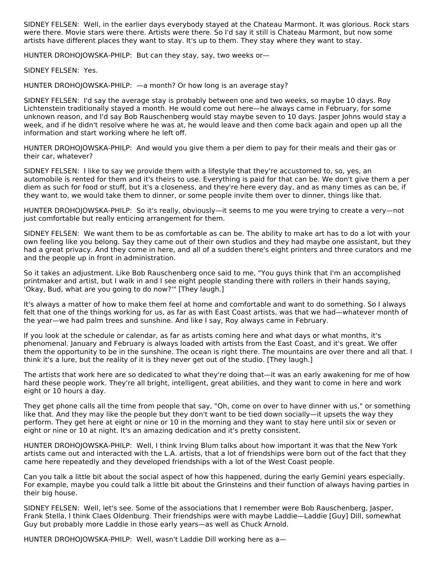SIDNEY FELSEN: Well, in the earlier days everybody stayed at the Chateau Marmont. It was glorious. Rock stars were there. Movie stars were there. Artists were there. So I'd say it still is Chateau Marmont, but now some artists have different places they want to stay. It's up to them. They stay where they want to stay.

HUNTER DROHOJOWSKA-PHILP: But can they stay, say, two weeks or—

SIDNEY FELSEN: Yes.

HUNTER DROHOJOWSKA-PHILP: —a month? Or how long is an average stay?

SIDNEY FELSEN: I'd say the average stay is probably between one and two weeks, so maybe 10 days. Roy Lichtenstein traditionally stayed a month. He would come out here—he always came in February, for some unknown reason, and I'd say Bob Rauschenberg would stay maybe seven to 10 days. Jasper Johns would stay a week, and if he didn't resolve where he was at, he would leave and then come back again and open up all the information and start working where he left off.

HUNTER DROHOJOWSKA-PHILP: And would you give them a per diem to pay for their meals and their gas or their car, whatever?

SIDNEY FELSEN: I like to say we provide them with a lifestyle that they're accustomed to, so, yes, an automobile is rented for them and it's theirs to use. Everything is paid for that can be. We don't give them a per diem as such for food or stuff, but it's a closeness, and they're here every day, and as many times as can be, if they want to, we would take them to dinner, or some people invite them over to dinner, things like that.

HUNTER DROHOJOWSKA-PHILP: So it's really, obviously—it seems to me you were trying to create a very—not just comfortable but really enticing arrangement for them.

SIDNEY FELSEN: We want them to be as comfortable as can be. The ability to make art has to do a lot with your own feeling like you belong. Say they came out of their own studios and they had maybe one assistant, but they had a great privacy. And they come in here, and all of a sudden there's eight printers and three curators and me and the people up in front in administration.

So it takes an adjustment. Like Bob Rauschenberg once said to me, "You guys think that I'm an accomplished printmaker and artist, but I walk in and I see eight people standing there with rollers in their hands saying, 'Okay, Bud, what are you going to do now?'" [They laugh.]

It's always a matter of how to make them feel at home and comfortable and want to do something. So I always felt that one of the things working for us, as far as with East Coast artists, was that we had—whatever month of the year—we had palm trees and sunshine. And like I say, Roy always came in February.

If you look at the schedule or calendar, as far as artists coming here and what days or what months, it's phenomenal. January and February is always loaded with artists from the East Coast, and it's great. We offer them the opportunity to be in the sunshine. The ocean is right there. The mountains are over there and all that. I think it's a lure, but the reality of it is they never get out of the studio. [They laugh.]

The artists that work here are so dedicated to what they're doing that—it was an early awakening for me of how hard these people work. They're all bright, intelligent, great abilities, and they want to come in here and work eight or 10 hours a day.

They get phone calls all the time from people that say, "Oh, come on over to have dinner with us," or something like that. And they may like the people but they don't want to be tied down socially—it upsets the way they perform. They get here at eight or nine or 10 in the morning and they want to stay here until six or seven or eight or nine or 10 at night. It's an amazing dedication and it's pretty consistent.

HUNTER DROHOJOWSKA-PHILP: Well, I think Irving Blum talks about how important it was that the New York artists came out and interacted with the L.A. artists, that a lot of friendships were born out of the fact that they came here repeatedly and they developed friendships with a lot of the West Coast people.

Can you talk a little bit about the social aspect of how this happened, during the early Gemini years especially. For example, maybe you could talk a little bit about the Grinsteins and their function of always having parties in their big house.

SIDNEY FELSEN: Well, let's see. Some of the associations that I remember were Bob Rauschenberg, Jasper, Frank Stella, I think Claes Oldenburg. Their friendships were with maybe Laddie—Laddie [Guy] Dill, somewhat Guy but probably more Laddie in those early years—as well as Chuck Arnold.

HUNTER DROHOJOWSKA-PHILP: Well, wasn't Laddie Dill working here as a—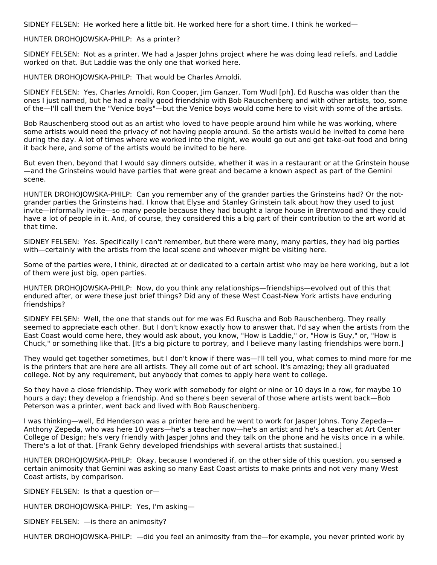SIDNEY FELSEN: He worked here a little bit. He worked here for a short time. I think he worked—

#### HUNTER DROHOJOWSKA-PHILP: As a printer?

SIDNEY FELSEN: Not as a printer. We had a Jasper Johns project where he was doing lead reliefs, and Laddie worked on that. But Laddie was the only one that worked here.

HUNTER DROHOJOWSKA-PHILP: That would be Charles Arnoldi.

SIDNEY FELSEN: Yes, Charles Arnoldi, Ron Cooper, Jim Ganzer, Tom Wudl [ph]. Ed Ruscha was older than the ones I just named, but he had a really good friendship with Bob Rauschenberg and with other artists, too, some of the—I'll call them the "Venice boys"—but the Venice boys would come here to visit with some of the artists.

Bob Rauschenberg stood out as an artist who loved to have people around him while he was working, where some artists would need the privacy of not having people around. So the artists would be invited to come here during the day. A lot of times where we worked into the night, we would go out and get take-out food and bring it back here, and some of the artists would be invited to be here.

But even then, beyond that I would say dinners outside, whether it was in a restaurant or at the Grinstein house —and the Grinsteins would have parties that were great and became a known aspect as part of the Gemini scene.

HUNTER DROHOJOWSKA-PHILP: Can you remember any of the grander parties the Grinsteins had? Or the notgrander parties the Grinsteins had. I know that Elyse and Stanley Grinstein talk about how they used to just invite—informally invite—so many people because they had bought a large house in Brentwood and they could have a lot of people in it. And, of course, they considered this a big part of their contribution to the art world at that time.

SIDNEY FELSEN: Yes. Specifically I can't remember, but there were many, many parties, they had big parties with—certainly with the artists from the local scene and whoever might be visiting here.

Some of the parties were, I think, directed at or dedicated to a certain artist who may be here working, but a lot of them were just big, open parties.

HUNTER DROHOJOWSKA-PHILP: Now, do you think any relationships—friendships—evolved out of this that endured after, or were these just brief things? Did any of these West Coast-New York artists have enduring friendships?

SIDNEY FELSEN: Well, the one that stands out for me was Ed Ruscha and Bob Rauschenberg. They really seemed to appreciate each other. But I don't know exactly how to answer that. I'd say when the artists from the East Coast would come here, they would ask about, you know, "How is Laddie," or, "How is Guy," or, "How is Chuck," or something like that. [It's a big picture to portray, and I believe many lasting friendships were born.]

They would get together sometimes, but I don't know if there was—I'll tell you, what comes to mind more for me is the printers that are here are all artists. They all come out of art school. It's amazing; they all graduated college. Not by any requirement, but anybody that comes to apply here went to college.

So they have a close friendship. They work with somebody for eight or nine or 10 days in a row, for maybe 10 hours a day; they develop a friendship. And so there's been several of those where artists went back—Bob Peterson was a printer, went back and lived with Bob Rauschenberg.

I was thinking—well, Ed Henderson was a printer here and he went to work for Jasper Johns. Tony Zepeda— Anthony Zepeda, who was here 10 years—he's a teacher now—he's an artist and he's a teacher at Art Center College of Design; he's very friendly with Jasper Johns and they talk on the phone and he visits once in a while. There's a lot of that. [Frank Gehry developed friendships with several artists that sustained.]

HUNTER DROHOJOWSKA-PHILP: Okay, because I wondered if, on the other side of this question, you sensed a certain animosity that Gemini was asking so many East Coast artists to make prints and not very many West Coast artists, by comparison.

SIDNEY FELSEN: Is that a question or—

HUNTER DROHOJOWSKA-PHILP: Yes, I'm asking—

SIDNEY FELSEN: —is there an animosity?

HUNTER DROHOJOWSKA-PHILP: —did you feel an animosity from the—for example, you never printed work by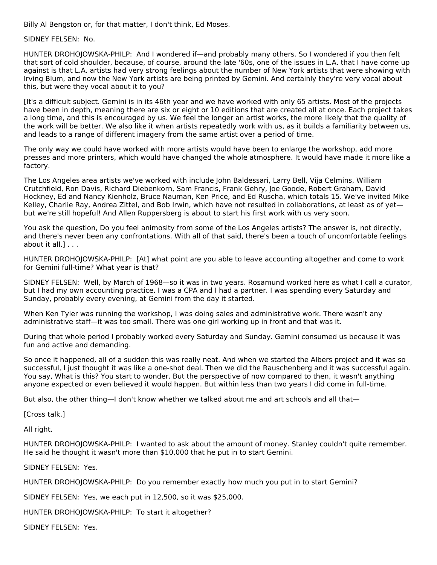Billy Al Bengston or, for that matter, I don't think, Ed Moses.

SIDNEY FELSEN: No.

HUNTER DROHOJOWSKA-PHILP: And I wondered if—and probably many others. So I wondered if you then felt that sort of cold shoulder, because, of course, around the late '60s, one of the issues in L.A. that I have come up against is that L.A. artists had very strong feelings about the number of New York artists that were showing with Irving Blum, and now the New York artists are being printed by Gemini. And certainly they're very vocal about this, but were they vocal about it to you?

[It's a difficult subject. Gemini is in its 46th year and we have worked with only 65 artists. Most of the projects have been in depth, meaning there are six or eight or 10 editions that are created all at once. Each project takes a long time, and this is encouraged by us. We feel the longer an artist works, the more likely that the quality of the work will be better. We also like it when artists repeatedly work with us, as it builds a familiarity between us, and leads to a range of different imagery from the same artist over a period of time.

The only way we could have worked with more artists would have been to enlarge the workshop, add more presses and more printers, which would have changed the whole atmosphere. It would have made it more like a factory.

The Los Angeles area artists we've worked with include John Baldessari, Larry Bell, Vija Celmins, William Crutchfield, Ron Davis, Richard Diebenkorn, Sam Francis, Frank Gehry, Joe Goode, Robert Graham, David Hockney, Ed and Nancy Kienholz, Bruce Nauman, Ken Price, and Ed Ruscha, which totals 15. We've invited Mike Kelley, Charlie Ray, Andrea Zittel, and Bob Irwin, which have not resulted in collaborations, at least as of yet but we're still hopeful! And Allen Ruppersberg is about to start his first work with us very soon.

You ask the question, Do you feel animosity from some of the Los Angeles artists? The answer is, not directly, and there's never been any confrontations. With all of that said, there's been a touch of uncomfortable feelings about it all.] . . .

HUNTER DROHOJOWSKA-PHILP: [At] what point are you able to leave accounting altogether and come to work for Gemini full-time? What year is that?

SIDNEY FELSEN: Well, by March of 1968—so it was in two years. Rosamund worked here as what I call a curator, but I had my own accounting practice. I was a CPA and I had a partner. I was spending every Saturday and Sunday, probably every evening, at Gemini from the day it started.

When Ken Tyler was running the workshop, I was doing sales and administrative work. There wasn't any administrative staff—it was too small. There was one girl working up in front and that was it.

During that whole period I probably worked every Saturday and Sunday. Gemini consumed us because it was fun and active and demanding.

So once it happened, all of a sudden this was really neat. And when we started the Albers project and it was so successful, I just thought it was like a one-shot deal. Then we did the Rauschenberg and it was successful again. You say, What is this? You start to wonder. But the perspective of now compared to then, it wasn't anything anyone expected or even believed it would happen. But within less than two years I did come in full-time.

But also, the other thing—I don't know whether we talked about me and art schools and all that—

[Cross talk.]

All right.

HUNTER DROHOJOWSKA-PHILP: I wanted to ask about the amount of money. Stanley couldn't quite remember. He said he thought it wasn't more than \$10,000 that he put in to start Gemini.

#### SIDNEY FELSEN: Yes.

HUNTER DROHOJOWSKA-PHILP: Do you remember exactly how much you put in to start Gemini?

SIDNEY FELSEN: Yes, we each put in 12,500, so it was \$25,000.

HUNTER DROHOJOWSKA-PHILP: To start it altogether?

SIDNEY FELSEN: Yes.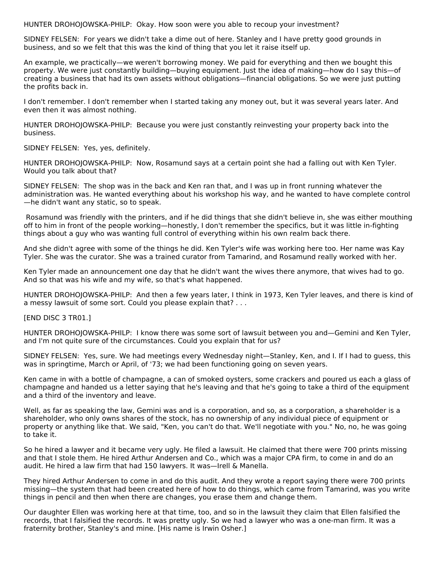HUNTER DROHOJOWSKA-PHILP: Okay. How soon were you able to recoup your investment?

SIDNEY FELSEN: For years we didn't take a dime out of here. Stanley and I have pretty good grounds in business, and so we felt that this was the kind of thing that you let it raise itself up.

An example, we practically—we weren't borrowing money. We paid for everything and then we bought this property. We were just constantly building—buying equipment. Just the idea of making—how do I say this—of creating a business that had its own assets without obligations—financial obligations. So we were just putting the profits back in.

I don't remember. I don't remember when I started taking any money out, but it was several years later. And even then it was almost nothing.

HUNTER DROHOJOWSKA-PHILP: Because you were just constantly reinvesting your property back into the business.

SIDNEY FELSEN: Yes, yes, definitely.

HUNTER DROHOJOWSKA-PHILP: Now, Rosamund says at a certain point she had a falling out with Ken Tyler. Would you talk about that?

SIDNEY FELSEN: The shop was in the back and Ken ran that, and I was up in front running whatever the administration was. He wanted everything about his workshop his way, and he wanted to have complete control —he didn't want any static, so to speak.

Rosamund was friendly with the printers, and if he did things that she didn't believe in, she was either mouthing off to him in front of the people working—honestly, I don't remember the specifics, but it was little in-fighting things about a guy who was wanting full control of everything within his own realm back there.

And she didn't agree with some of the things he did. Ken Tyler's wife was working here too. Her name was Kay Tyler. She was the curator. She was a trained curator from Tamarind, and Rosamund really worked with her.

Ken Tyler made an announcement one day that he didn't want the wives there anymore, that wives had to go. And so that was his wife and my wife, so that's what happened.

HUNTER DROHOJOWSKA-PHILP: And then a few years later, I think in 1973, Ken Tyler leaves, and there is kind of a messy lawsuit of some sort. Could you please explain that? . . .

[END DISC 3 TR01.]

HUNTER DROHOJOWSKA-PHILP: I know there was some sort of lawsuit between you and—Gemini and Ken Tyler, and I'm not quite sure of the circumstances. Could you explain that for us?

SIDNEY FELSEN: Yes, sure. We had meetings every Wednesday night—Stanley, Ken, and I. If I had to guess, this was in springtime, March or April, of '73; we had been functioning going on seven years.

Ken came in with a bottle of champagne, a can of smoked oysters, some crackers and poured us each a glass of champagne and handed us a letter saying that he's leaving and that he's going to take a third of the equipment and a third of the inventory and leave.

Well, as far as speaking the law, Gemini was and is a corporation, and so, as a corporation, a shareholder is a shareholder, who only owns shares of the stock, has no ownership of any individual piece of equipment or property or anything like that. We said, "Ken, you can't do that. We'll negotiate with you." No, no, he was going to take it.

So he hired a lawyer and it became very ugly. He filed a lawsuit. He claimed that there were 700 prints missing and that I stole them. He hired Arthur Andersen and Co., which was a major CPA firm, to come in and do an audit. He hired a law firm that had 150 lawyers. It was—Irell & Manella.

They hired Arthur Andersen to come in and do this audit. And they wrote a report saying there were 700 prints missing—the system that had been created here of how to do things, which came from Tamarind, was you write things in pencil and then when there are changes, you erase them and change them.

Our daughter Ellen was working here at that time, too, and so in the lawsuit they claim that Ellen falsified the records, that I falsified the records. It was pretty ugly. So we had a lawyer who was a one-man firm. It was a fraternity brother, Stanley's and mine. [His name is Irwin Osher.]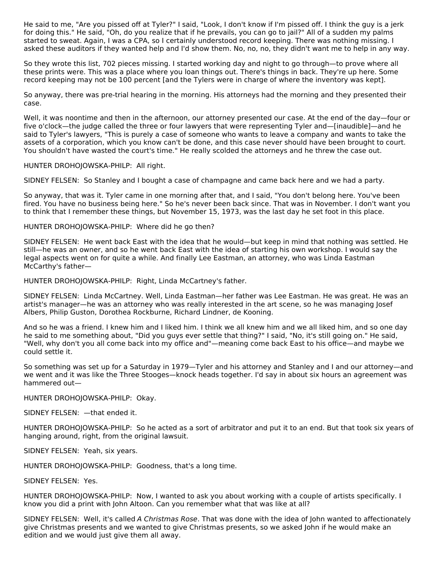He said to me, "Are you pissed off at Tyler?" I said, "Look, I don't know if I'm pissed off. I think the guy is a jerk for doing this." He said, "Oh, do you realize that if he prevails, you can go to jail?" All of a sudden my palms started to sweat. Again, I was a CPA, so I certainly understood record keeping. There was nothing missing. I asked these auditors if they wanted help and I'd show them. No, no, no, they didn't want me to help in any way.

So they wrote this list, 702 pieces missing. I started working day and night to go through—to prove where all these prints were. This was a place where you loan things out. There's things in back. They're up here. Some record keeping may not be 100 percent [and the Tylers were in charge of where the inventory was kept].

So anyway, there was pre-trial hearing in the morning. His attorneys had the morning and they presented their case.

Well, it was noontime and then in the afternoon, our attorney presented our case. At the end of the day—four or five o'clock—the judge called the three or four lawyers that were representing Tyler and—[inaudible]—and he said to Tyler's lawyers, "This is purely a case of someone who wants to leave a company and wants to take the assets of a corporation, which you know can't be done, and this case never should have been brought to court. You shouldn't have wasted the court's time." He really scolded the attorneys and he threw the case out.

HUNTER DROHOJOWSKA-PHILP: All right.

SIDNEY FELSEN: So Stanley and I bought a case of champagne and came back here and we had a party.

So anyway, that was it. Tyler came in one morning after that, and I said, "You don't belong here. You've been fired. You have no business being here." So he's never been back since. That was in November. I don't want you to think that I remember these things, but November 15, 1973, was the last day he set foot in this place.

HUNTER DROHOJOWSKA-PHILP: Where did he go then?

SIDNEY FELSEN: He went back East with the idea that he would—but keep in mind that nothing was settled. He still—he was an owner, and so he went back East with the idea of starting his own workshop. I would say the legal aspects went on for quite a while. And finally Lee Eastman, an attorney, who was Linda Eastman McCarthy's father—

HUNTER DROHOJOWSKA-PHILP: Right, Linda McCartney's father.

SIDNEY FELSEN: Linda McCartney. Well, Linda Eastman—her father was Lee Eastman. He was great. He was an artist's manager—he was an attorney who was really interested in the art scene, so he was managing Josef Albers, Philip Guston, Dorothea Rockburne, Richard Lindner, de Kooning.

And so he was a friend. I knew him and I liked him. I think we all knew him and we all liked him, and so one day he said to me something about, "Did you guys ever settle that thing?" I said, "No, it's still going on." He said, "Well, why don't you all come back into my office and"—meaning come back East to his office—and maybe we could settle it.

So something was set up for a Saturday in 1979—Tyler and his attorney and Stanley and I and our attorney—and we went and it was like the Three Stooges—knock heads together. I'd say in about six hours an agreement was hammered out—

HUNTER DROHOJOWSKA-PHILP: Okay.

SIDNEY FELSEN: —that ended it.

HUNTER DROHOJOWSKA-PHILP: So he acted as a sort of arbitrator and put it to an end. But that took six years of hanging around, right, from the original lawsuit.

SIDNEY FELSEN: Yeah, six years.

HUNTER DROHOJOWSKA-PHILP: Goodness, that's a long time.

SIDNEY FELSEN: Yes.

HUNTER DROHOJOWSKA-PHILP: Now, I wanted to ask you about working with a couple of artists specifically. I know you did a print with John Altoon. Can you remember what that was like at all?

SIDNEY FELSEN: Well, it's called A Christmas Rose. That was done with the idea of John wanted to affectionately give Christmas presents and we wanted to give Christmas presents, so we asked John if he would make an edition and we would just give them all away.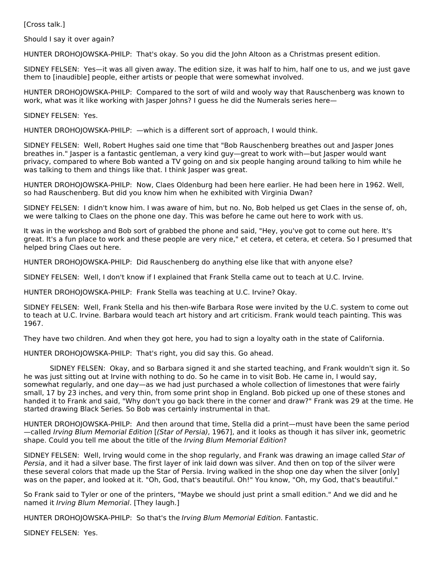[Cross talk.]

Should I say it over again?

HUNTER DROHOJOWSKA-PHILP: That's okay. So you did the John Altoon as a Christmas present edition.

SIDNEY FELSEN: Yes—it was all given away. The edition size, it was half to him, half one to us, and we just gave them to [inaudible] people, either artists or people that were somewhat involved.

HUNTER DROHOJOWSKA-PHILP: Compared to the sort of wild and wooly way that Rauschenberg was known to work, what was it like working with Jasper Johns? I guess he did the Numerals series here—

SIDNEY FELSEN: Yes.

HUNTER DROHOJOWSKA-PHILP: —which is a different sort of approach, I would think.

SIDNEY FELSEN: Well, Robert Hughes said one time that "Bob Rauschenberg breathes out and Jasper Jones breathes in." Jasper is a fantastic gentleman, a very kind guy—great to work with—but Jasper would want privacy, compared to where Bob wanted a TV going on and six people hanging around talking to him while he was talking to them and things like that. I think Jasper was great.

HUNTER DROHOJOWSKA-PHILP: Now, Claes Oldenburg had been here earlier. He had been here in 1962. Well, so had Rauschenberg. But did you know him when he exhibited with Virginia Dwan?

SIDNEY FELSEN: I didn't know him. I was aware of him, but no. No, Bob helped us get Claes in the sense of, oh, we were talking to Claes on the phone one day. This was before he came out here to work with us.

It was in the workshop and Bob sort of grabbed the phone and said, "Hey, you've got to come out here. It's great. It's a fun place to work and these people are very nice," et cetera, et cetera, et cetera. So I presumed that helped bring Claes out here.

HUNTER DROHOJOWSKA-PHILP: Did Rauschenberg do anything else like that with anyone else?

SIDNEY FELSEN: Well, I don't know if I explained that Frank Stella came out to teach at U.C. Irvine.

HUNTER DROHOJOWSKA-PHILP: Frank Stella was teaching at U.C. Irvine? Okay.

SIDNEY FELSEN: Well, Frank Stella and his then-wife Barbara Rose were invited by the U.C. system to come out to teach at U.C. Irvine. Barbara would teach art history and art criticism. Frank would teach painting. This was 1967.

They have two children. And when they got here, you had to sign a loyalty oath in the state of California.

HUNTER DROHOJOWSKA-PHILP: That's right, you did say this. Go ahead.

SIDNEY FELSEN: Okay, and so Barbara signed it and she started teaching, and Frank wouldn't sign it. So he was just sitting out at Irvine with nothing to do. So he came in to visit Bob. He came in, I would say, somewhat regularly, and one day—as we had just purchased a whole collection of limestones that were fairly small, 17 by 23 inches, and very thin, from some print shop in England. Bob picked up one of these stones and handed it to Frank and said, "Why don't you go back there in the corner and draw?" Frank was 29 at the time. He started drawing Black Series. So Bob was certainly instrumental in that.

HUNTER DROHOJOWSKA-PHILP: And then around that time, Stella did a print—must have been the same period —called Irving Blum Memorial Edition [(Star of Persia), 1967], and it looks as though it has silver ink, geometric shape. Could you tell me about the title of the Irving Blum Memorial Edition?

SIDNEY FELSEN: Well, Irving would come in the shop regularly, and Frank was drawing an image called Star of Persia, and it had a silver base. The first layer of ink laid down was silver. And then on top of the silver were these several colors that made up the Star of Persia. Irving walked in the shop one day when the silver [only] was on the paper, and looked at it. "Oh, God, that's beautiful. Oh!" You know, "Oh, my God, that's beautiful."

So Frank said to Tyler or one of the printers, "Maybe we should just print a small edition." And we did and he named it Irving Blum Memorial. [They laugh.]

HUNTER DROHOJOWSKA-PHILP: So that's the Irving Blum Memorial Edition. Fantastic.

SIDNEY FELSEN: Yes.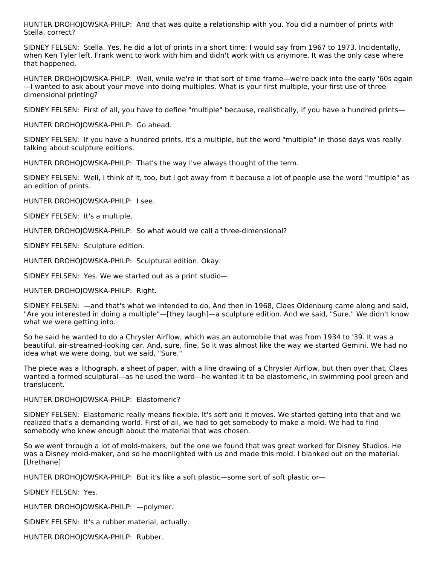HUNTER DROHOJOWSKA-PHILP: And that was quite a relationship with you. You did a number of prints with Stella, correct?

SIDNEY FELSEN: Stella. Yes, he did a lot of prints in a short time; I would say from 1967 to 1973. Incidentally, when Ken Tyler left, Frank went to work with him and didn't work with us anymore. It was the only case where that happened.

HUNTER DROHOJOWSKA-PHILP: Well, while we're in that sort of time frame—we're back into the early '60s again —I wanted to ask about your move into doing multiples. What is your first multiple, your first use of threedimensional printing?

SIDNEY FELSEN: First of all, you have to define "multiple" because, realistically, if you have a hundred prints—

HUNTER DROHOJOWSKA-PHILP: Go ahead.

SIDNEY FELSEN: If you have a hundred prints, it's a multiple, but the word "multiple" in those days was really talking about sculpture editions.

HUNTER DROHOJOWSKA-PHILP: That's the way I've always thought of the term.

SIDNEY FELSEN: Well, I think of it, too, but I got away from it because a lot of people use the word "multiple" as an edition of prints.

HUNTER DROHOJOWSKA-PHILP: I see.

SIDNEY FELSEN: It's a multiple.

HUNTER DROHOJOWSKA-PHILP: So what would we call a three-dimensional?

SIDNEY FELSEN: Sculpture edition.

HUNTER DROHOJOWSKA-PHILP: Sculptural edition. Okay.

SIDNEY FELSEN: Yes. We we started out as a print studio—

HUNTER DROHOJOWSKA-PHILP: Right.

SIDNEY FELSEN: —and that's what we intended to do. And then in 1968, Claes Oldenburg came along and said, "Are you interested in doing a multiple"—[they laugh]—a sculpture edition. And we said, "Sure." We didn't know what we were getting into.

So he said he wanted to do a Chrysler Airflow, which was an automobile that was from 1934 to '39. It was a beautiful, air-streamed-looking car. And, sure, fine. So it was almost like the way we started Gemini. We had no idea what we were doing, but we said, "Sure."

The piece was a lithograph, a sheet of paper, with a line drawing of a Chrysler Airflow, but then over that, Claes wanted a formed sculptural—as he used the word—he wanted it to be elastomeric, in swimming pool green and translucent.

#### HUNTER DROHOJOWSKA-PHILP: Elastomeric?

SIDNEY FELSEN: Elastomeric really means flexible. It's soft and it moves. We started getting into that and we realized that's a demanding world. First of all, we had to get somebody to make a mold. We had to find somebody who knew enough about the material that was chosen.

So we went through a lot of mold-makers, but the one we found that was great worked for Disney Studios. He was a Disney mold-maker, and so he moonlighted with us and made this mold. I blanked out on the material. [Urethane]

HUNTER DROHOJOWSKA-PHILP: But it's like a soft plastic—some sort of soft plastic or—

SIDNEY FELSEN: Yes.

HUNTER DROHOJOWSKA-PHILP: —polymer.

SIDNEY FELSEN: It's a rubber material, actually.

HUNTER DROHOJOWSKA-PHILP: Rubber.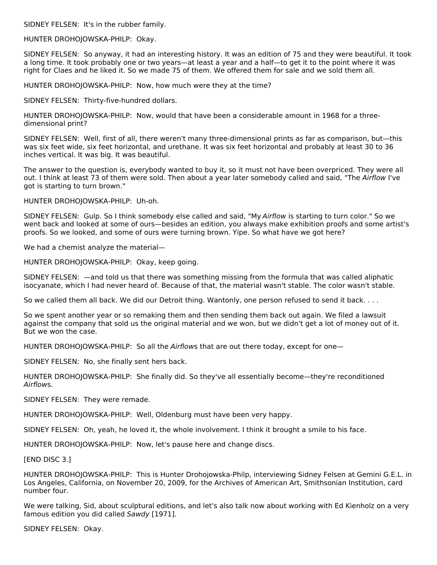SIDNEY FELSEN: It's in the rubber family.

HUNTER DROHOJOWSKA-PHILP: Okay.

SIDNEY FELSEN: So anyway, it had an interesting history. It was an edition of 75 and they were beautiful. It took a long time. It took probably one or two years—at least a year and a half—to get it to the point where it was right for Claes and he liked it. So we made 75 of them. We offered them for sale and we sold them all.

HUNTER DROHOJOWSKA-PHILP: Now, how much were they at the time?

SIDNEY FELSEN: Thirty-five-hundred dollars.

HUNTER DROHOJOWSKA-PHILP: Now, would that have been a considerable amount in 1968 for a threedimensional print?

SIDNEY FELSEN: Well, first of all, there weren't many three-dimensional prints as far as comparison, but—this was six feet wide, six feet horizontal, and urethane. It was six feet horizontal and probably at least 30 to 36 inches vertical. It was big. It was beautiful.

The answer to the question is, everybody wanted to buy it, so it must not have been overpriced. They were all out. I think at least 73 of them were sold. Then about a year later somebody called and said, "The Airflow I've got is starting to turn brown."

HUNTER DROHOJOWSKA-PHILP: Uh-oh.

SIDNEY FELSEN: Gulp. So I think somebody else called and said, "My Airflow is starting to turn color." So we went back and looked at some of ours—besides an edition, you always make exhibition proofs and some artist's proofs. So we looked, and some of ours were turning brown. Yipe. So what have we got here?

We had a chemist analyze the material—

HUNTER DROHOJOWSKA-PHILP: Okay, keep going.

SIDNEY FELSEN: —and told us that there was something missing from the formula that was called aliphatic isocyanate, which I had never heard of. Because of that, the material wasn't stable. The color wasn't stable.

So we called them all back. We did our Detroit thing. Wantonly, one person refused to send it back. . . .

So we spent another year or so remaking them and then sending them back out again. We filed a lawsuit against the company that sold us the original material and we won, but we didn't get a lot of money out of it. But we won the case.

HUNTER DROHOJOWSKA-PHILP: So all the Airflows that are out there today, except for one-

SIDNEY FELSEN: No, she finally sent hers back.

HUNTER DROHOJOWSKA-PHILP: She finally did. So they've all essentially become—they're reconditioned Airflows.

SIDNEY FELSEN: They were remade.

HUNTER DROHOJOWSKA-PHILP: Well, Oldenburg must have been very happy.

SIDNEY FELSEN: Oh, yeah, he loved it, the whole involvement. I think it brought a smile to his face.

HUNTER DROHOJOWSKA-PHILP: Now, let's pause here and change discs.

[END DISC 3.]

HUNTER DROHOJOWSKA-PHILP: This is Hunter Drohojowska-Philp, interviewing Sidney Felsen at Gemini G.E.L. in Los Angeles, California, on November 20, 2009, for the Archives of American Art, Smithsonian Institution, card number four.

We were talking, Sid, about sculptural editions, and let's also talk now about working with Ed Kienholz on a very famous edition you did called Sawdy [1971].

SIDNEY FELSEN: Okay.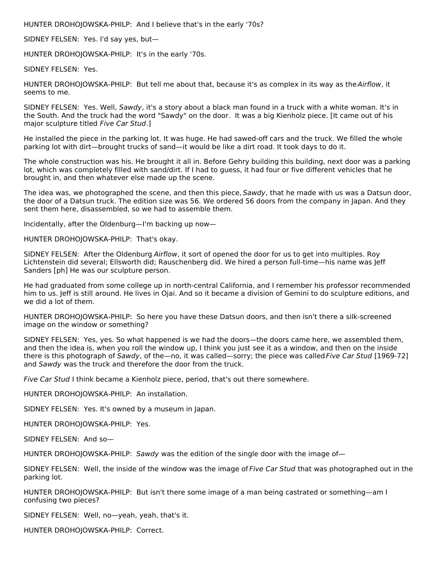HUNTER DROHOJOWSKA-PHILP: And I believe that's in the early '70s?

SIDNEY FELSEN: Yes. I'd say yes, but—

HUNTER DROHOJOWSKA-PHILP: It's in the early '70s.

SIDNEY FELSEN: Yes.

HUNTER DROHOJOWSKA-PHILP: But tell me about that, because it's as complex in its way as the Airflow, it seems to me.

SIDNEY FELSEN: Yes. Well, Sawdy, it's a story about a black man found in a truck with a white woman. It's in the South. And the truck had the word "Sawdy" on the door. It was a big Kienholz piece. [It came out of his major sculpture titled Five Car Stud.]

He installed the piece in the parking lot. It was huge. He had sawed-off cars and the truck. We filled the whole parking lot with dirt—brought trucks of sand—it would be like a dirt road. It took days to do it.

The whole construction was his. He brought it all in. Before Gehry building this building, next door was a parking lot, which was completely filled with sand/dirt. If I had to guess, it had four or five different vehicles that he brought in, and then whatever else made up the scene.

The idea was, we photographed the scene, and then this piece, Sawdy, that he made with us was a Datsun door, the door of a Datsun truck. The edition size was 56. We ordered 56 doors from the company in Japan. And they sent them here, disassembled, so we had to assemble them.

Incidentally, after the Oldenburg—I'm backing up now—

HUNTER DROHOJOWSKA-PHILP: That's okay.

SIDNEY FELSEN: After the Oldenburg Airflow, it sort of opened the door for us to get into multiples. Roy Lichtenstein did several; Ellsworth did; Rauschenberg did. We hired a person full-time—his name was Jeff Sanders [ph] He was our sculpture person.

He had graduated from some college up in north-central California, and I remember his professor recommended him to us. Jeff is still around. He lives in Ojai. And so it became a division of Gemini to do sculpture editions, and we did a lot of them.

HUNTER DROHOJOWSKA-PHILP: So here you have these Datsun doors, and then isn't there a silk-screened image on the window or something?

SIDNEY FELSEN: Yes, yes. So what happened is we had the doors—the doors came here, we assembled them, and then the idea is, when you roll the window up, I think you just see it as a window, and then on the inside there is this photograph of Sawdy, of the—no, it was called—sorry; the piece was called Five Car Stud [1969-72] and Sawdy was the truck and therefore the door from the truck.

Five Car Stud I think became a Kienholz piece, period, that's out there somewhere.

HUNTER DROHOJOWSKA-PHILP: An installation.

SIDNEY FELSEN: Yes. It's owned by a museum in Japan.

HUNTER DROHOJOWSKA-PHILP: Yes.

SIDNEY FELSEN: And so—

HUNTER DROHOJOWSKA-PHILP: Sawdy was the edition of the single door with the image of-

SIDNEY FELSEN: Well, the inside of the window was the image of Five Car Stud that was photographed out in the parking lot.

HUNTER DROHOJOWSKA-PHILP: But isn't there some image of a man being castrated or something—am I confusing two pieces?

SIDNEY FELSEN: Well, no—yeah, yeah, that's it.

HUNTER DROHOJOWSKA-PHILP: Correct.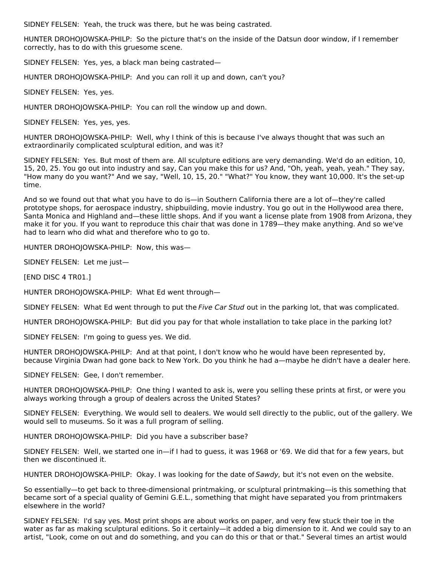SIDNEY FELSEN: Yeah, the truck was there, but he was being castrated.

HUNTER DROHOJOWSKA-PHILP: So the picture that's on the inside of the Datsun door window, if I remember correctly, has to do with this gruesome scene.

SIDNEY FELSEN: Yes, yes, a black man being castrated—

HUNTER DROHOJOWSKA-PHILP: And you can roll it up and down, can't you?

SIDNEY FELSEN: Yes, yes.

HUNTER DROHOJOWSKA-PHILP: You can roll the window up and down.

SIDNEY FELSEN: Yes, yes, yes.

HUNTER DROHOJOWSKA-PHILP: Well, why I think of this is because I've always thought that was such an extraordinarily complicated sculptural edition, and was it?

SIDNEY FELSEN: Yes. But most of them are. All sculpture editions are very demanding. We'd do an edition, 10, 15, 20, 25. You go out into industry and say, Can you make this for us? And, "Oh, yeah, yeah, yeah." They say, "How many do you want?" And we say, "Well, 10, 15, 20." "What?" You know, they want 10,000. It's the set-up time.

And so we found out that what you have to do is—in Southern California there are a lot of—they're called prototype shops, for aerospace industry, shipbuilding, movie industry. You go out in the Hollywood area there, Santa Monica and Highland and—these little shops. And if you want a license plate from 1908 from Arizona, they make it for you. If you want to reproduce this chair that was done in 1789—they make anything. And so we've had to learn who did what and therefore who to go to.

HUNTER DROHOJOWSKA-PHILP: Now, this was—

SIDNEY FELSEN: Let me just—

[END DISC 4 TR01.]

HUNTER DROHOJOWSKA-PHILP: What Ed went through—

SIDNEY FELSEN: What Ed went through to put the Five Car Stud out in the parking lot, that was complicated.

HUNTER DROHOJOWSKA-PHILP: But did you pay for that whole installation to take place in the parking lot?

SIDNEY FELSEN: I'm going to guess yes. We did.

HUNTER DROHOJOWSKA-PHILP: And at that point, I don't know who he would have been represented by, because Virginia Dwan had gone back to New York. Do you think he had a—maybe he didn't have a dealer here.

SIDNEY FELSEN: Gee, I don't remember.

HUNTER DROHOJOWSKA-PHILP: One thing I wanted to ask is, were you selling these prints at first, or were you always working through a group of dealers across the United States?

SIDNEY FELSEN: Everything. We would sell to dealers. We would sell directly to the public, out of the gallery. We would sell to museums. So it was a full program of selling.

HUNTER DROHOJOWSKA-PHILP: Did you have a subscriber base?

SIDNEY FELSEN: Well, we started one in—if I had to guess, it was 1968 or '69. We did that for a few years, but then we discontinued it.

HUNTER DROHOJOWSKA-PHILP: Okay. I was looking for the date of Sawdy, but it's not even on the website.

So essentially—to get back to three-dimensional printmaking, or sculptural printmaking—is this something that became sort of a special quality of Gemini G.E.L., something that might have separated you from printmakers elsewhere in the world?

SIDNEY FELSEN: I'd say yes. Most print shops are about works on paper, and very few stuck their toe in the water as far as making sculptural editions. So it certainly—it added a big dimension to it. And we could say to an artist, "Look, come on out and do something, and you can do this or that or that." Several times an artist would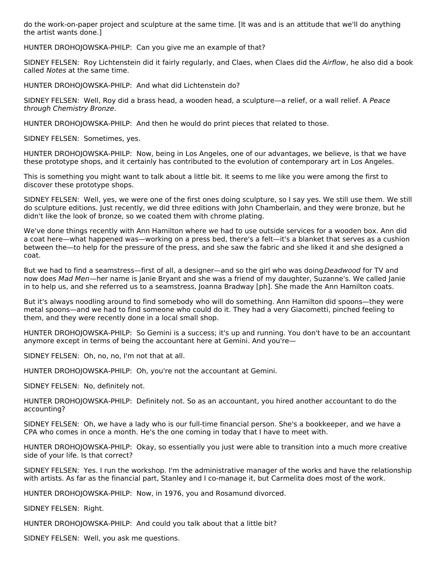do the work-on-paper project and sculpture at the same time. [It was and is an attitude that we'll do anything the artist wants done.]

HUNTER DROHOJOWSKA-PHILP: Can you give me an example of that?

SIDNEY FELSEN: Roy Lichtenstein did it fairly regularly, and Claes, when Claes did the Airflow, he also did a book called Notes at the same time.

HUNTER DROHOJOWSKA-PHILP: And what did Lichtenstein do?

SIDNEY FELSEN: Well, Roy did a brass head, a wooden head, a sculpture—a relief, or a wall relief. A Peace through Chemistry Bronze.

HUNTER DROHOJOWSKA-PHILP: And then he would do print pieces that related to those.

SIDNEY FELSEN: Sometimes, yes.

HUNTER DROHOJOWSKA-PHILP: Now, being in Los Angeles, one of our advantages, we believe, is that we have these prototype shops, and it certainly has contributed to the evolution of contemporary art in Los Angeles.

This is something you might want to talk about a little bit. It seems to me like you were among the first to discover these prototype shops.

SIDNEY FELSEN: Well, yes, we were one of the first ones doing sculpture, so I say yes. We still use them. We still do sculpture editions. Just recently, we did three editions with John Chamberlain, and they were bronze, but he didn't like the look of bronze, so we coated them with chrome plating.

We've done things recently with Ann Hamilton where we had to use outside services for a wooden box. Ann did a coat here—what happened was—working on a press bed, there's a felt—it's a blanket that serves as a cushion between the—to help for the pressure of the press, and she saw the fabric and she liked it and she designed a coat.

But we had to find a seamstress—first of all, a designer—and so the girl who was doing Deadwood for TV and now does Mad Men—her name is Janie Bryant and she was a friend of my daughter, Suzanne's. We called Janie in to help us, and she referred us to a seamstress, Joanna Bradway [ph]. She made the Ann Hamilton coats.

But it's always noodling around to find somebody who will do something. Ann Hamilton did spoons—they were metal spoons—and we had to find someone who could do it. They had a very Giacometti, pinched feeling to them, and they were recently done in a local small shop.

HUNTER DROHOJOWSKA-PHILP: So Gemini is a success; it's up and running. You don't have to be an accountant anymore except in terms of being the accountant here at Gemini. And you're—

SIDNEY FELSEN: Oh, no, no, I'm not that at all.

HUNTER DROHOJOWSKA-PHILP: Oh, you're not the accountant at Gemini.

SIDNEY FELSEN: No, definitely not.

HUNTER DROHOJOWSKA-PHILP: Definitely not. So as an accountant, you hired another accountant to do the accounting?

SIDNEY FELSEN: Oh, we have a lady who is our full-time financial person. She's a bookkeeper, and we have a CPA who comes in once a month. He's the one coming in today that I have to meet with.

HUNTER DROHOJOWSKA-PHILP: Okay, so essentially you just were able to transition into a much more creative side of your life. Is that correct?

SIDNEY FELSEN: Yes. I run the workshop. I'm the administrative manager of the works and have the relationship with artists. As far as the financial part, Stanley and I co-manage it, but Carmelita does most of the work.

HUNTER DROHOJOWSKA-PHILP: Now, in 1976, you and Rosamund divorced.

SIDNEY FELSEN: Right.

HUNTER DROHOJOWSKA-PHILP: And could you talk about that a little bit?

SIDNEY FELSEN: Well, you ask me questions.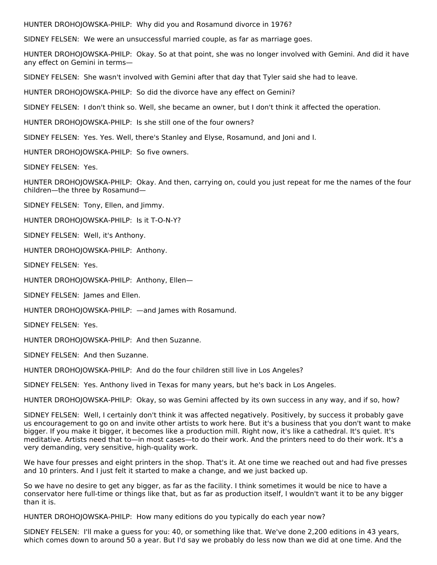HUNTER DROHOJOWSKA-PHILP: Why did you and Rosamund divorce in 1976?

SIDNEY FELSEN: We were an unsuccessful married couple, as far as marriage goes.

HUNTER DROHOJOWSKA-PHILP: Okay. So at that point, she was no longer involved with Gemini. And did it have any effect on Gemini in terms—

SIDNEY FELSEN: She wasn't involved with Gemini after that day that Tyler said she had to leave.

HUNTER DROHOJOWSKA-PHILP: So did the divorce have any effect on Gemini?

SIDNEY FELSEN: I don't think so. Well, she became an owner, but I don't think it affected the operation.

HUNTER DROHOJOWSKA-PHILP: Is she still one of the four owners?

SIDNEY FELSEN: Yes. Yes. Well, there's Stanley and Elyse, Rosamund, and Joni and I.

HUNTER DROHOJOWSKA-PHILP: So five owners.

SIDNEY FELSEN: Yes.

HUNTER DROHOJOWSKA-PHILP: Okay. And then, carrying on, could you just repeat for me the names of the four children—the three by Rosamund—

SIDNEY FELSEN: Tony, Ellen, and Jimmy.

HUNTER DROHOJOWSKA-PHILP: Is it T-O-N-Y?

SIDNEY FELSEN: Well, it's Anthony.

HUNTER DROHOJOWSKA-PHILP: Anthony.

SIDNEY FELSEN: Yes.

HUNTER DROHOJOWSKA-PHILP: Anthony, Ellen—

SIDNEY FELSEN: James and Ellen.

HUNTER DROHOJOWSKA-PHILP: —and James with Rosamund.

SIDNEY FELSEN: Yes.

HUNTER DROHOJOWSKA-PHILP: And then Suzanne.

SIDNEY FELSEN: And then Suzanne.

HUNTER DROHOJOWSKA-PHILP: And do the four children still live in Los Angeles?

SIDNEY FELSEN: Yes. Anthony lived in Texas for many years, but he's back in Los Angeles.

HUNTER DROHOJOWSKA-PHILP: Okay, so was Gemini affected by its own success in any way, and if so, how?

SIDNEY FELSEN: Well, I certainly don't think it was affected negatively. Positively, by success it probably gave us encouragement to go on and invite other artists to work here. But it's a business that you don't want to make bigger. If you make it bigger, it becomes like a production mill. Right now, it's like a cathedral. It's quiet. It's meditative. Artists need that to—in most cases—to do their work. And the printers need to do their work. It's a very demanding, very sensitive, high-quality work.

We have four presses and eight printers in the shop. That's it. At one time we reached out and had five presses and 10 printers. And I just felt it started to make a change, and we just backed up.

So we have no desire to get any bigger, as far as the facility. I think sometimes it would be nice to have a conservator here full-time or things like that, but as far as production itself, I wouldn't want it to be any bigger than it is.

HUNTER DROHOJOWSKA-PHILP: How many editions do you typically do each year now?

SIDNEY FELSEN: I'll make a guess for you: 40, or something like that. We've done 2,200 editions in 43 years, which comes down to around 50 a year. But I'd say we probably do less now than we did at one time. And the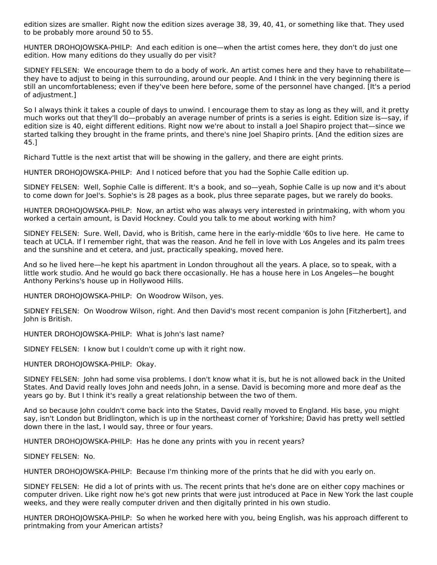edition sizes are smaller. Right now the edition sizes average 38, 39, 40, 41, or something like that. They used to be probably more around 50 to 55.

HUNTER DROHOJOWSKA-PHILP: And each edition is one—when the artist comes here, they don't do just one edition. How many editions do they usually do per visit?

SIDNEY FELSEN: We encourage them to do a body of work. An artist comes here and they have to rehabilitate they have to adjust to being in this surrounding, around our people. And I think in the very beginning there is still an uncomfortableness; even if they've been here before, some of the personnel have changed. [It's a period of adjustment.]

So I always think it takes a couple of days to unwind. I encourage them to stay as long as they will, and it pretty much works out that they'll do—probably an average number of prints is a series is eight. Edition size is—say, if edition size is 40, eight different editions. Right now we're about to install a Joel Shapiro project that—since we started talking they brought in the frame prints, and there's nine Joel Shapiro prints. [And the edition sizes are 45.]

Richard Tuttle is the next artist that will be showing in the gallery, and there are eight prints.

HUNTER DROHOJOWSKA-PHILP: And I noticed before that you had the Sophie Calle edition up.

SIDNEY FELSEN: Well, Sophie Calle is different. It's a book, and so—yeah, Sophie Calle is up now and it's about to come down for Joel's. Sophie's is 28 pages as a book, plus three separate pages, but we rarely do books.

HUNTER DROHOJOWSKA-PHILP: Now, an artist who was always very interested in printmaking, with whom you worked a certain amount, is David Hockney. Could you talk to me about working with him?

SIDNEY FELSEN: Sure. Well, David, who is British, came here in the early-middle '60s to live here. He came to teach at UCLA. If I remember right, that was the reason. And he fell in love with Los Angeles and its palm trees and the sunshine and et cetera, and just, practically speaking, moved here.

And so he lived here—he kept his apartment in London throughout all the years. A place, so to speak, with a little work studio. And he would go back there occasionally. He has a house here in Los Angeles—he bought Anthony Perkins's house up in Hollywood Hills.

HUNTER DROHOJOWSKA-PHILP: On Woodrow Wilson, yes.

SIDNEY FELSEN: On Woodrow Wilson, right. And then David's most recent companion is John [Fitzherbert], and John is British.

HUNTER DROHOJOWSKA-PHILP: What is John's last name?

SIDNEY FELSEN: I know but I couldn't come up with it right now.

HUNTER DROHOJOWSKA-PHILP: Okay.

SIDNEY FELSEN: John had some visa problems. I don't know what it is, but he is not allowed back in the United States. And David really loves John and needs John, in a sense. David is becoming more and more deaf as the years go by. But I think it's really a great relationship between the two of them.

And so because John couldn't come back into the States, David really moved to England. His base, you might say, isn't London but Bridlington, which is up in the northeast corner of Yorkshire; David has pretty well settled down there in the last, I would say, three or four years.

HUNTER DROHOJOWSKA-PHILP: Has he done any prints with you in recent years?

SIDNEY FELSEN: No.

HUNTER DROHOJOWSKA-PHILP: Because I'm thinking more of the prints that he did with you early on.

SIDNEY FELSEN: He did a lot of prints with us. The recent prints that he's done are on either copy machines or computer driven. Like right now he's got new prints that were just introduced at Pace in New York the last couple weeks, and they were really computer driven and then digitally printed in his own studio.

HUNTER DROHOJOWSKA-PHILP: So when he worked here with you, being English, was his approach different to printmaking from your American artists?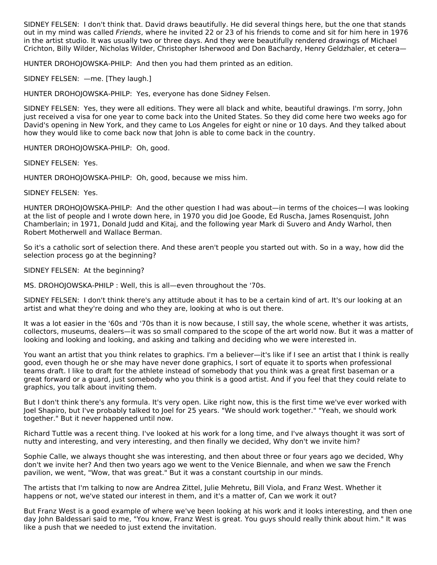SIDNEY FELSEN: I don't think that. David draws beautifully. He did several things here, but the one that stands out in my mind was called Friends, where he invited 22 or 23 of his friends to come and sit for him here in 1976 in the artist studio. It was usually two or three days. And they were beautifully rendered drawings of Michael Crichton, Billy Wilder, Nicholas Wilder, Christopher Isherwood and Don Bachardy, Henry Geldzhaler, et cetera—

HUNTER DROHOJOWSKA-PHILP: And then you had them printed as an edition.

SIDNEY FELSEN: —me. [They laugh.]

HUNTER DROHOJOWSKA-PHILP: Yes, everyone has done Sidney Felsen.

SIDNEY FELSEN: Yes, they were all editions. They were all black and white, beautiful drawings. I'm sorry, John just received a visa for one year to come back into the United States. So they did come here two weeks ago for David's opening in New York, and they came to Los Angeles for eight or nine or 10 days. And they talked about how they would like to come back now that John is able to come back in the country.

HUNTER DROHOJOWSKA-PHILP: Oh, good.

SIDNEY FELSEN: Yes.

HUNTER DROHOJOWSKA-PHILP: Oh, good, because we miss him.

SIDNEY FELSEN: Yes.

HUNTER DROHOJOWSKA-PHILP: And the other question I had was about—in terms of the choices—I was looking at the list of people and I wrote down here, in 1970 you did Joe Goode, Ed Ruscha, James Rosenquist, John Chamberlain; in 1971, Donald Judd and Kitaj, and the following year Mark di Suvero and Andy Warhol, then Robert Motherwell and Wallace Berman.

So it's a catholic sort of selection there. And these aren't people you started out with. So in a way, how did the selection process go at the beginning?

SIDNEY FELSEN: At the beginning?

MS. DROHOJOWSKA-PHILP : Well, this is all—even throughout the '70s.

SIDNEY FELSEN: I don't think there's any attitude about it has to be a certain kind of art. It's our looking at an artist and what they're doing and who they are, looking at who is out there.

It was a lot easier in the '60s and '70s than it is now because, I still say, the whole scene, whether it was artists, collectors, museums, dealers—it was so small compared to the scope of the art world now. But it was a matter of looking and looking and looking, and asking and talking and deciding who we were interested in.

You want an artist that you think relates to graphics. I'm a believer—it's like if I see an artist that I think is really good, even though he or she may have never done graphics, I sort of equate it to sports when professional teams draft. I like to draft for the athlete instead of somebody that you think was a great first baseman or a great forward or a guard, just somebody who you think is a good artist. And if you feel that they could relate to graphics, you talk about inviting them.

But I don't think there's any formula. It's very open. Like right now, this is the first time we've ever worked with Joel Shapiro, but I've probably talked to Joel for 25 years. "We should work together." "Yeah, we should work together." But it never happened until now.

Richard Tuttle was a recent thing. I've looked at his work for a long time, and I've always thought it was sort of nutty and interesting, and very interesting, and then finally we decided, Why don't we invite him?

Sophie Calle, we always thought she was interesting, and then about three or four years ago we decided, Why don't we invite her? And then two years ago we went to the Venice Biennale, and when we saw the French pavilion, we went, "Wow, that was great." But it was a constant courtship in our minds.

The artists that I'm talking to now are Andrea Zittel, Julie Mehretu, Bill Viola, and Franz West. Whether it happens or not, we've stated our interest in them, and it's a matter of, Can we work it out?

But Franz West is a good example of where we've been looking at his work and it looks interesting, and then one day John Baldessari said to me, "You know, Franz West is great. You guys should really think about him." It was like a push that we needed to just extend the invitation.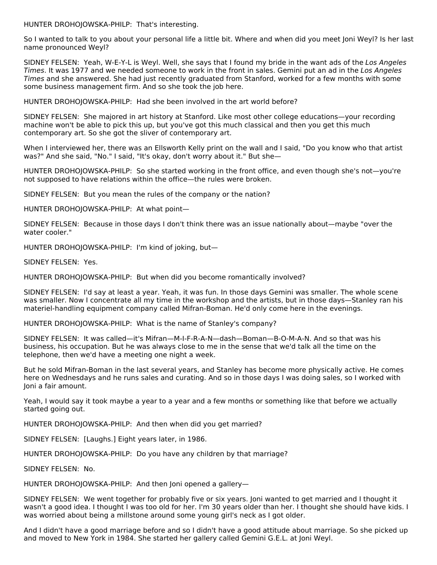HUNTER DROHOJOWSKA-PHILP: That's interesting.

So I wanted to talk to you about your personal life a little bit. Where and when did you meet Joni Weyl? Is her last name pronounced Weyl?

SIDNEY FELSEN: Yeah, W-E-Y-L is Weyl. Well, she says that I found my bride in the want ads of the Los Angeles Times. It was 1977 and we needed someone to work in the front in sales. Gemini put an ad in the Los Angeles Times and she answered. She had just recently graduated from Stanford, worked for a few months with some some business management firm. And so she took the job here.

HUNTER DROHOJOWSKA-PHILP: Had she been involved in the art world before?

SIDNEY FELSEN: She majored in art history at Stanford. Like most other college educations—your recording machine won't be able to pick this up, but you've got this much classical and then you get this much contemporary art. So she got the sliver of contemporary art.

When I interviewed her, there was an Ellsworth Kelly print on the wall and I said, "Do you know who that artist was?" And she said, "No." I said, "It's okay, don't worry about it." But she—

HUNTER DROHOJOWSKA-PHILP: So she started working in the front office, and even though she's not—you're not supposed to have relations within the office—the rules were broken.

SIDNEY FELSEN: But you mean the rules of the company or the nation?

HUNTER DROHOJOWSKA-PHILP: At what point—

SIDNEY FELSEN: Because in those days I don't think there was an issue nationally about—maybe "over the water cooler."

HUNTER DROHOJOWSKA-PHILP: I'm kind of joking, but—

SIDNEY FELSEN: Yes.

HUNTER DROHOJOWSKA-PHILP: But when did you become romantically involved?

SIDNEY FELSEN: I'd say at least a year. Yeah, it was fun. In those days Gemini was smaller. The whole scene was smaller. Now I concentrate all my time in the workshop and the artists, but in those days—Stanley ran his materiel-handling equipment company called Mifran-Boman. He'd only come here in the evenings.

HUNTER DROHOJOWSKA-PHILP: What is the name of Stanley's company?

SIDNEY FELSEN: It was called—it's Mifran—M-I-F-R-A-N—dash—Boman—B-O-M-A-N. And so that was his business, his occupation. But he was always close to me in the sense that we'd talk all the time on the telephone, then we'd have a meeting one night a week.

But he sold Mifran-Boman in the last several years, and Stanley has become more physically active. He comes here on Wednesdays and he runs sales and curating. And so in those days I was doing sales, so I worked with Joni a fair amount.

Yeah, I would say it took maybe a year to a year and a few months or something like that before we actually started going out.

HUNTER DROHOJOWSKA-PHILP: And then when did you get married?

SIDNEY FELSEN: [Laughs.] Eight years later, in 1986.

HUNTER DROHOJOWSKA-PHILP: Do you have any children by that marriage?

SIDNEY FELSEN: No.

HUNTER DROHOJOWSKA-PHILP: And then Joni opened a gallery—

SIDNEY FELSEN: We went together for probably five or six years. Joni wanted to get married and I thought it wasn't a good idea. I thought I was too old for her. I'm 30 years older than her. I thought she should have kids. I was worried about being a millstone around some young girl's neck as I got older.

And I didn't have a good marriage before and so I didn't have a good attitude about marriage. So she picked up and moved to New York in 1984. She started her gallery called Gemini G.E.L. at Joni Weyl.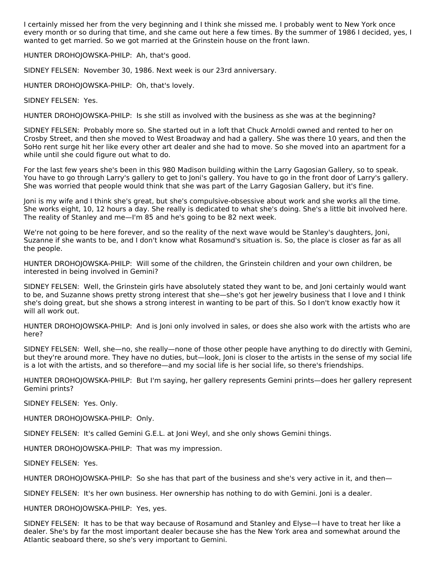I certainly missed her from the very beginning and I think she missed me. I probably went to New York once every month or so during that time, and she came out here a few times. By the summer of 1986 I decided, yes, I wanted to get married. So we got married at the Grinstein house on the front lawn.

HUNTER DROHOJOWSKA-PHILP: Ah, that's good.

SIDNEY FELSEN: November 30, 1986. Next week is our 23rd anniversary.

HUNTER DROHOJOWSKA-PHILP: Oh, that's lovely.

SIDNEY FELSEN: Yes.

HUNTER DROHOJOWSKA-PHILP: Is she still as involved with the business as she was at the beginning?

SIDNEY FELSEN: Probably more so. She started out in a loft that Chuck Arnoldi owned and rented to her on Crosby Street, and then she moved to West Broadway and had a gallery. She was there 10 years, and then the SoHo rent surge hit her like every other art dealer and she had to move. So she moved into an apartment for a while until she could figure out what to do.

For the last few years she's been in this 980 Madison building within the Larry Gagosian Gallery, so to speak. You have to go through Larry's gallery to get to Joni's gallery. You have to go in the front door of Larry's gallery. She was worried that people would think that she was part of the Larry Gagosian Gallery, but it's fine.

Joni is my wife and I think she's great, but she's compulsive-obsessive about work and she works all the time. She works eight, 10, 12 hours a day. She really is dedicated to what she's doing. She's a little bit involved here. The reality of Stanley and me—I'm 85 and he's going to be 82 next week.

We're not going to be here forever, and so the reality of the next wave would be Stanley's daughters, Joni, Suzanne if she wants to be, and I don't know what Rosamund's situation is. So, the place is closer as far as all the people.

HUNTER DROHOJOWSKA-PHILP: Will some of the children, the Grinstein children and your own children, be interested in being involved in Gemini?

SIDNEY FELSEN: Well, the Grinstein girls have absolutely stated they want to be, and Joni certainly would want to be, and Suzanne shows pretty strong interest that she—she's got her jewelry business that I love and I think she's doing great, but she shows a strong interest in wanting to be part of this. So I don't know exactly how it will all work out.

HUNTER DROHOJOWSKA-PHILP: And is Joni only involved in sales, or does she also work with the artists who are here?

SIDNEY FELSEN: Well, she—no, she really—none of those other people have anything to do directly with Gemini, but they're around more. They have no duties, but—look, Joni is closer to the artists in the sense of my social life is a lot with the artists, and so therefore—and my social life is her social life, so there's friendships.

HUNTER DROHOJOWSKA-PHILP: But I'm saying, her gallery represents Gemini prints—does her gallery represent Gemini prints?

SIDNEY FELSEN: Yes. Only.

HUNTER DROHOJOWSKA-PHILP: Only.

SIDNEY FELSEN: It's called Gemini G.E.L. at Joni Weyl, and she only shows Gemini things.

HUNTER DROHOJOWSKA-PHILP: That was my impression.

SIDNEY FELSEN: Yes.

HUNTER DROHOJOWSKA-PHILP: So she has that part of the business and she's very active in it, and then-

SIDNEY FELSEN: It's her own business. Her ownership has nothing to do with Gemini. Joni is a dealer.

HUNTER DROHOJOWSKA-PHILP: Yes, yes.

SIDNEY FELSEN: It has to be that way because of Rosamund and Stanley and Elyse—I have to treat her like a dealer. She's by far the most important dealer because she has the New York area and somewhat around the Atlantic seaboard there, so she's very important to Gemini.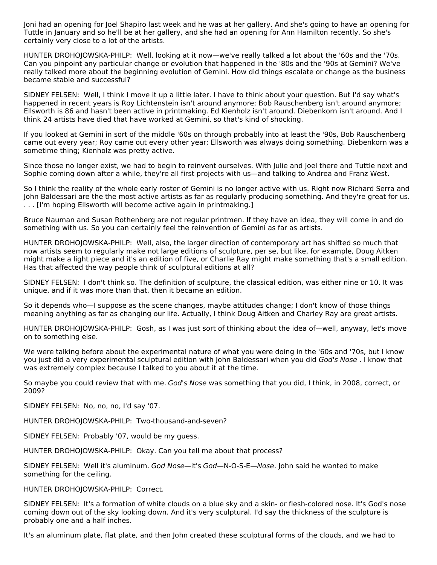Joni had an opening for Joel Shapiro last week and he was at her gallery. And she's going to have an opening for Tuttle in January and so he'll be at her gallery, and she had an opening for Ann Hamilton recently. So she's certainly very close to a lot of the artists.

HUNTER DROHOJOWSKA-PHILP: Well, looking at it now—we've really talked a lot about the '60s and the '70s. Can you pinpoint any particular change or evolution that happened in the '80s and the '90s at Gemini? We've really talked more about the beginning evolution of Gemini. How did things escalate or change as the business became stable and successful?

SIDNEY FELSEN: Well, I think I move it up a little later. I have to think about your question. But I'd say what's happened in recent years is Roy Lichtenstein isn't around anymore; Bob Rauschenberg isn't around anymore; Ellsworth is 86 and hasn't been active in printmaking. Ed Kienholz isn't around. Diebenkorn isn't around. And I think 24 artists have died that have worked at Gemini, so that's kind of shocking.

If you looked at Gemini in sort of the middle '60s on through probably into at least the '90s, Bob Rauschenberg came out every year; Roy came out every other year; Ellsworth was always doing something. Diebenkorn was a sometime thing; Kienholz was pretty active.

Since those no longer exist, we had to begin to reinvent ourselves. With Julie and Joel there and Tuttle next and Sophie coming down after a while, they're all first projects with us—and talking to Andrea and Franz West.

So I think the reality of the whole early roster of Gemini is no longer active with us. Right now Richard Serra and John Baldessari are the the most active artists as far as regularly producing something. And they're great for us. . . . [I'm hoping Ellsworth will become active again in printmaking.]

Bruce Nauman and Susan Rothenberg are not regular printmen. If they have an idea, they will come in and do something with us. So you can certainly feel the reinvention of Gemini as far as artists.

HUNTER DROHOJOWSKA-PHILP: Well, also, the larger direction of contemporary art has shifted so much that now artists seem to regularly make not large editions of sculpture, per se, but like, for example, Doug Aitken might make a light piece and it's an edition of five, or Charlie Ray might make something that's a small edition. Has that affected the way people think of sculptural editions at all?

SIDNEY FELSEN: I don't think so. The definition of sculpture, the classical edition, was either nine or 10. It was unique, and if it was more than that, then it became an edition.

So it depends who—I suppose as the scene changes, maybe attitudes change; I don't know of those things meaning anything as far as changing our life. Actually, I think Doug Aitken and Charley Ray are great artists.

HUNTER DROHOJOWSKA-PHILP: Gosh, as I was just sort of thinking about the idea of—well, anyway, let's move on to something else.

We were talking before about the experimental nature of what you were doing in the '60s and '70s, but I know you just did a very experimental sculptural edition with John Baldessari when you did God's Nose . I know that was extremely complex because I talked to you about it at the time.

So maybe you could review that with me. God's Nose was something that you did, I think, in 2008, correct, or 2009?

SIDNEY FELSEN: No, no, no, I'd say '07.

HUNTER DROHOJOWSKA-PHILP: Two-thousand-and-seven?

SIDNEY FELSEN: Probably '07, would be my guess.

HUNTER DROHOJOWSKA-PHILP: Okay. Can you tell me about that process?

SIDNEY FELSEN: Well it's aluminum. God Nose—it's God—N-O-S-E—Nose. John said he wanted to make something for the ceiling.

HUNTER DROHOJOWSKA-PHILP: Correct.

SIDNEY FELSEN: It's a formation of white clouds on a blue sky and a skin- or flesh-colored nose. It's God's nose coming down out of the sky looking down. And it's very sculptural. I'd say the thickness of the sculpture is probably one and a half inches.

It's an aluminum plate, flat plate, and then John created these sculptural forms of the clouds, and we had to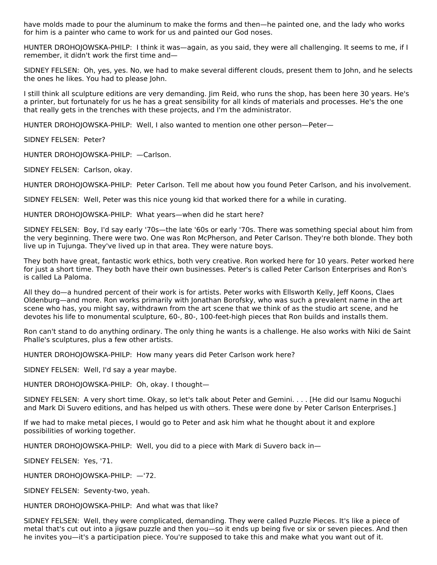have molds made to pour the aluminum to make the forms and then—he painted one, and the lady who works for him is a painter who came to work for us and painted our God noses.

HUNTER DROHOJOWSKA-PHILP: I think it was—again, as you said, they were all challenging. It seems to me, if I remember, it didn't work the first time and—

SIDNEY FELSEN: Oh, yes, yes. No, we had to make several different clouds, present them to John, and he selects the ones he likes. You had to please John.

I still think all sculpture editions are very demanding. Jim Reid, who runs the shop, has been here 30 years. He's a printer, but fortunately for us he has a great sensibility for all kinds of materials and processes. He's the one that really gets in the trenches with these projects, and I'm the administrator.

HUNTER DROHOJOWSKA-PHILP: Well, I also wanted to mention one other person—Peter—

SIDNEY FELSEN: Peter?

HUNTER DROHOJOWSKA-PHILP: —Carlson.

SIDNEY FELSEN: Carlson, okay.

HUNTER DROHOJOWSKA-PHILP: Peter Carlson. Tell me about how you found Peter Carlson, and his involvement.

SIDNEY FELSEN: Well, Peter was this nice young kid that worked there for a while in curating.

HUNTER DROHOJOWSKA-PHILP: What years—when did he start here?

SIDNEY FELSEN: Boy, I'd say early '70s—the late '60s or early '70s. There was something special about him from the very beginning. There were two. One was Ron McPherson, and Peter Carlson. They're both blonde. They both live up in Tujunga. They've lived up in that area. They were nature boys.

They both have great, fantastic work ethics, both very creative. Ron worked here for 10 years. Peter worked here for just a short time. They both have their own businesses. Peter's is called Peter Carlson Enterprises and Ron's is called La Paloma.

All they do—a hundred percent of their work is for artists. Peter works with Ellsworth Kelly, Jeff Koons, Claes Oldenburg—and more. Ron works primarily with Jonathan Borofsky, who was such a prevalent name in the art scene who has, you might say, withdrawn from the art scene that we think of as the studio art scene, and he devotes his life to monumental sculpture, 60-, 80-, 100-feet-high pieces that Ron builds and installs them.

Ron can't stand to do anything ordinary. The only thing he wants is a challenge. He also works with Niki de Saint Phalle's sculptures, plus a few other artists.

HUNTER DROHOJOWSKA-PHILP: How many years did Peter Carlson work here?

SIDNEY FELSEN: Well, I'd say a year maybe.

HUNTER DROHOJOWSKA-PHILP: Oh, okay. I thought—

SIDNEY FELSEN: A very short time. Okay, so let's talk about Peter and Gemini. . . . [He did our Isamu Noguchi and Mark Di Suvero editions, and has helped us with others. These were done by Peter Carlson Enterprises.]

If we had to make metal pieces, I would go to Peter and ask him what he thought about it and explore possibilities of working together.

HUNTER DROHOJOWSKA-PHILP: Well, you did to a piece with Mark di Suvero back in—

SIDNEY FELSEN: Yes, '71.

HUNTER DROHOJOWSKA-PHILP: —'72.

SIDNEY FELSEN: Seventy-two, yeah.

HUNTER DROHOJOWSKA-PHILP: And what was that like?

SIDNEY FELSEN: Well, they were complicated, demanding. They were called Puzzle Pieces. It's like a piece of metal that's cut out into a jigsaw puzzle and then you—so it ends up being five or six or seven pieces. And then he invites you—it's a participation piece. You're supposed to take this and make what you want out of it.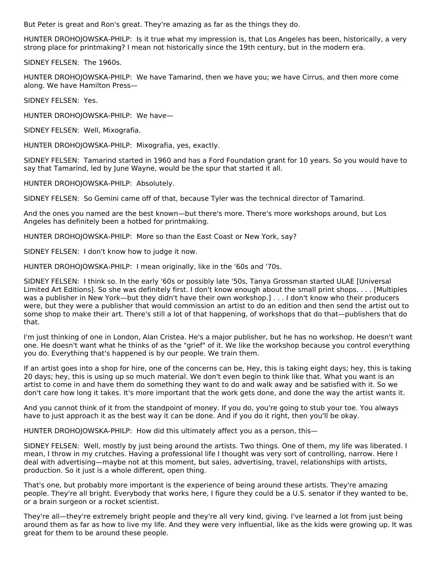But Peter is great and Ron's great. They're amazing as far as the things they do.

HUNTER DROHOJOWSKA-PHILP: Is it true what my impression is, that Los Angeles has been, historically, a very strong place for printmaking? I mean not historically since the 19th century, but in the modern era.

SIDNEY FELSEN: The 1960s.

HUNTER DROHOJOWSKA-PHILP: We have Tamarind, then we have you; we have Cirrus, and then more come along. We have Hamilton Press—

SIDNEY FELSEN: Yes.

HUNTER DROHOJOWSKA-PHILP: We have—

SIDNEY FELSEN: Well, Mixografia.

HUNTER DROHOJOWSKA-PHILP: Mixografia, yes, exactly.

SIDNEY FELSEN: Tamarind started in 1960 and has a Ford Foundation grant for 10 years. So you would have to say that Tamarind, led by June Wayne, would be the spur that started it all.

HUNTER DROHOJOWSKA-PHILP: Absolutely.

SIDNEY FELSEN: So Gemini came off of that, because Tyler was the technical director of Tamarind.

And the ones you named are the best known—but there's more. There's more workshops around, but Los Angeles has definitely been a hotbed for printmaking.

HUNTER DROHOJOWSKA-PHILP: More so than the East Coast or New York, say?

SIDNEY FELSEN: I don't know how to judge it now.

HUNTER DROHOJOWSKA-PHILP: I mean originally, like in the '60s and '70s.

SIDNEY FELSEN: I think so. In the early '60s or possibly late '50s, Tanya Grossman started ULAE [Universal Limited Art Editions]. So she was definitely first. I don't know enough about the small print shops. . . . [Multiples was a publisher in New York—but they didn't have their own workshop.] . . . I don't know who their producers were, but they were a publisher that would commission an artist to do an edition and then send the artist out to some shop to make their art. There's still a lot of that happening, of workshops that do that—publishers that do that.

I'm just thinking of one in London, Alan Cristea. He's a major publisher, but he has no workshop. He doesn't want one. He doesn't want what he thinks of as the "grief" of it. We like the workshop because you control everything you do. Everything that's happened is by our people. We train them.

If an artist goes into a shop for hire, one of the concerns can be, Hey, this is taking eight days; hey, this is taking 20 days; hey, this is using up so much material. We don't even begin to think like that. What you want is an artist to come in and have them do something they want to do and walk away and be satisfied with it. So we don't care how long it takes. It's more important that the work gets done, and done the way the artist wants it.

And you cannot think of it from the standpoint of money. If you do, you're going to stub your toe. You always have to just approach it as the best way it can be done. And if you do it right, then you'll be okay.

HUNTER DROHOJOWSKA-PHILP: How did this ultimately affect you as a person, this—

SIDNEY FELSEN: Well, mostly by just being around the artists. Two things. One of them, my life was liberated. I mean, I throw in my crutches. Having a professional life I thought was very sort of controlling, narrow. Here I deal with advertising—maybe not at this moment, but sales, advertising, travel, relationships with artists, production. So it just is a whole different, open thing.

That's one, but probably more important is the experience of being around these artists. They're amazing people. They're all bright. Everybody that works here, I figure they could be a U.S. senator if they wanted to be, or a brain surgeon or a rocket scientist.

They're all—they're extremely bright people and they're all very kind, giving. I've learned a lot from just being around them as far as how to live my life. And they were very influential, like as the kids were growing up. It was great for them to be around these people.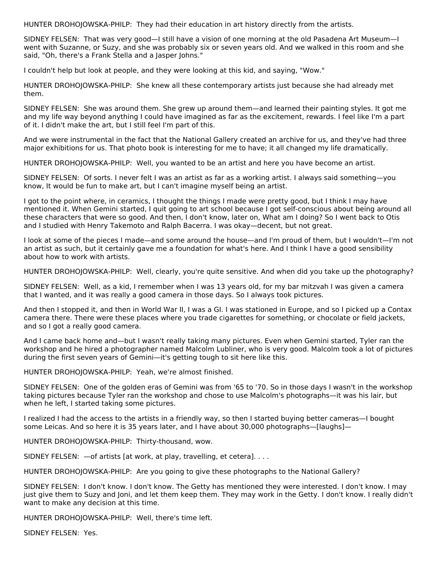HUNTER DROHOJOWSKA-PHILP: They had their education in art history directly from the artists.

SIDNEY FELSEN: That was very good—I still have a vision of one morning at the old Pasadena Art Museum—I went with Suzanne, or Suzy, and she was probably six or seven years old. And we walked in this room and she said, "Oh, there's a Frank Stella and a Jasper Johns."

I couldn't help but look at people, and they were looking at this kid, and saying, "Wow."

HUNTER DROHOJOWSKA-PHILP: She knew all these contemporary artists just because she had already met them.

SIDNEY FELSEN: She was around them. She grew up around them—and learned their painting styles. It got me and my life way beyond anything I could have imagined as far as the excitement, rewards. I feel like I'm a part of it. I didn't make the art, but I still feel I'm part of this.

And we were instrumental in the fact that the National Gallery created an archive for us, and they've had three major exhibitions for us. That photo book is interesting for me to have; it all changed my life dramatically.

HUNTER DROHOJOWSKA-PHILP: Well, you wanted to be an artist and here you have become an artist.

SIDNEY FELSEN: Of sorts. I never felt I was an artist as far as a working artist. I always said something—you know, It would be fun to make art, but I can't imagine myself being an artist.

I got to the point where, in ceramics, I thought the things I made were pretty good, but I think I may have mentioned it. When Gemini started, I quit going to art school because I got self-conscious about being around all these characters that were so good. And then, I don't know, later on, What am I doing? So I went back to Otis and I studied with Henry Takemoto and Ralph Bacerra. I was okay—decent, but not great.

I look at some of the pieces I made—and some around the house—and I'm proud of them, but I wouldn't—I'm not an artist as such, but it certainly gave me a foundation for what's here. And I think I have a good sensibility about how to work with artists.

HUNTER DROHOJOWSKA-PHILP: Well, clearly, you're quite sensitive. And when did you take up the photography?

SIDNEY FELSEN: Well, as a kid, I remember when I was 13 years old, for my bar mitzvah I was given a camera that I wanted, and it was really a good camera in those days. So I always took pictures.

And then I stopped it, and then in World War II, I was a GI. I was stationed in Europe, and so I picked up a Contax camera there. There were these places where you trade cigarettes for something, or chocolate or field jackets, and so I got a really good camera.

And I came back home and—but I wasn't really taking many pictures. Even when Gemini started, Tyler ran the workshop and he hired a photographer named Malcolm Lubliner, who is very good. Malcolm took a lot of pictures during the first seven years of Gemini—it's getting tough to sit here like this.

HUNTER DROHOJOWSKA-PHILP: Yeah, we're almost finished.

SIDNEY FELSEN: One of the golden eras of Gemini was from '65 to '70. So in those days I wasn't in the workshop taking pictures because Tyler ran the workshop and chose to use Malcolm's photographs—it was his lair, but when he left, I started taking some pictures.

I realized I had the access to the artists in a friendly way, so then I started buying better cameras—I bought some Leicas. And so here it is 35 years later, and I have about 30,000 photographs-[laughs]-

HUNTER DROHOJOWSKA-PHILP: Thirty-thousand, wow.

SIDNEY FELSEN:  $-$ of artists [at work, at play, travelling, et cetera]...

HUNTER DROHOJOWSKA-PHILP: Are you going to give these photographs to the National Gallery?

SIDNEY FELSEN: I don't know. I don't know. The Getty has mentioned they were interested. I don't know. I may just give them to Suzy and Joni, and let them keep them. They may work in the Getty. I don't know. I really didn't want to make any decision at this time.

HUNTER DROHOJOWSKA-PHILP: Well, there's time left.

SIDNEY FELSEN: Yes.